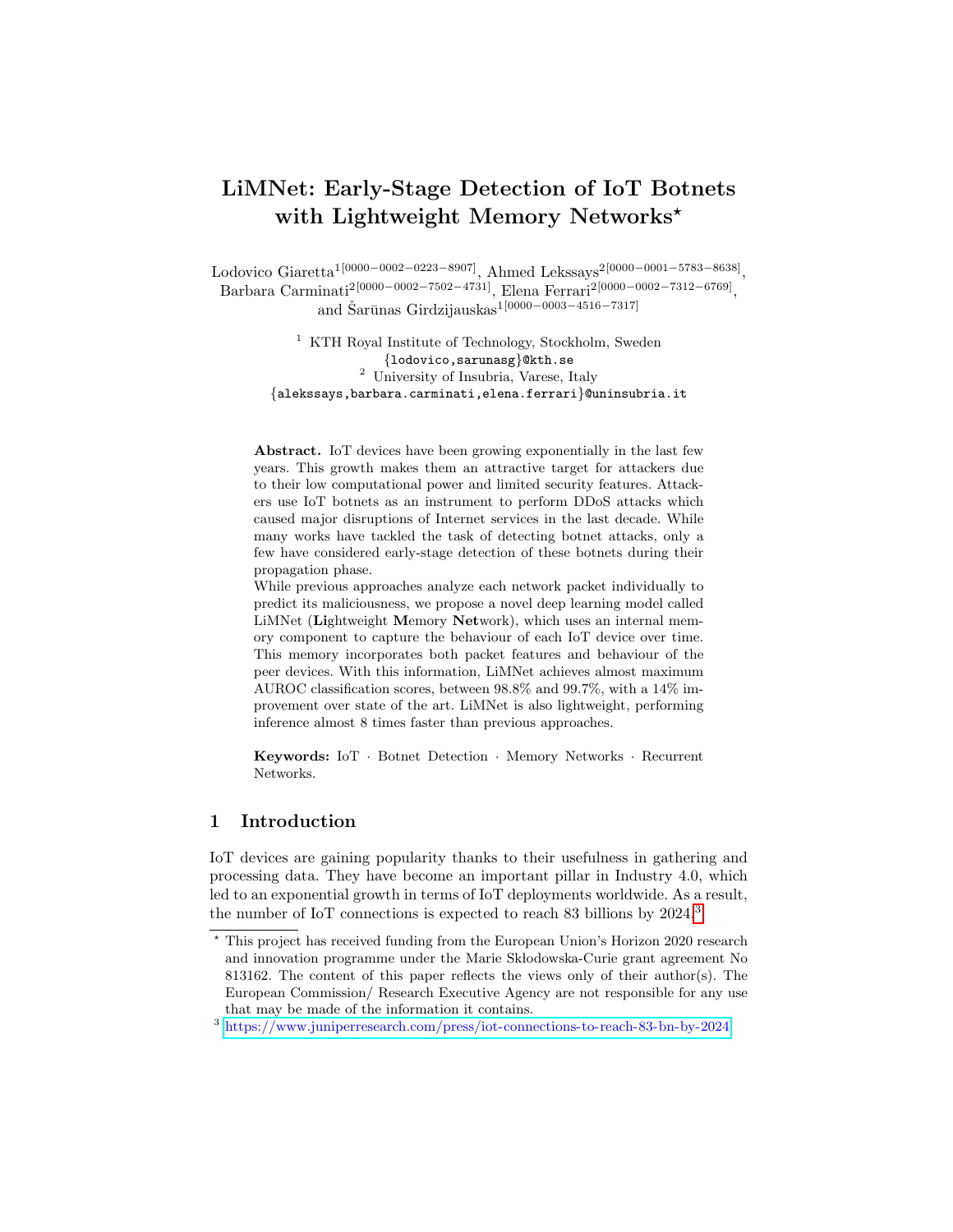# LiMNet: Early-Stage Detection of IoT Botnets with Lightweight Memory Networks<sup>\*</sup>

 $\text{Lodovico Giaretta}^{1[0000-0002-0223-8907]}, \text{ Ahmed Lekssays}^{2[0000-0001-5783-8638]},$ Barbara Carminati<sup>2</sup><sup>[0000–0002–7502–4731]</sup>, Elena Ferrari<sup>2</sup><sup>[0000–0002–7312–6769]</sup>, and Šarūnas Girdzijauskas<sup>1[0000</sup>−0003−4516−7317]

> $^{\rm 1}$  KTH Royal Institute of Technology, Stockholm, Sweden {lodovico,sarunasg}@kth.se <sup>2</sup> University of Insubria, Varese, Italy {alekssays,barbara.carminati,elena.ferrari}@uninsubria.it

Abstract. IoT devices have been growing exponentially in the last few years. This growth makes them an attractive target for attackers due to their low computational power and limited security features. Attackers use IoT botnets as an instrument to perform DDoS attacks which caused major disruptions of Internet services in the last decade. While many works have tackled the task of detecting botnet attacks, only a few have considered early-stage detection of these botnets during their propagation phase.

While previous approaches analyze each network packet individually to predict its maliciousness, we propose a novel deep learning model called LiMNet (Lightweight Memory Network), which uses an internal memory component to capture the behaviour of each IoT device over time. This memory incorporates both packet features and behaviour of the peer devices. With this information, LiMNet achieves almost maximum AUROC classification scores, between 98.8% and 99.7%, with a 14% improvement over state of the art. LiMNet is also lightweight, performing inference almost 8 times faster than previous approaches.

Keywords: IoT · Botnet Detection · Memory Networks · Recurrent Networks.

## 1 Introduction

IoT devices are gaining popularity thanks to their usefulness in gathering and processing data. They have become an important pillar in Industry 4.0, which led to an exponential growth in terms of IoT deployments worldwide. As a result, the number of IoT connections is expected to reach 83 billions by 2024.[3](#page-0-0)

<sup>?</sup> This project has received funding from the European Union's Horizon 2020 research and innovation programme under the Marie Skłodowska-Curie grant agreement No 813162. The content of this paper reflects the views only of their author(s). The European Commission/ Research Executive Agency are not responsible for any use that may be made of the information it contains.

<span id="page-0-0"></span><sup>3</sup> <https://www.juniperresearch.com/press/iot-connections-to-reach-83-bn-by-2024>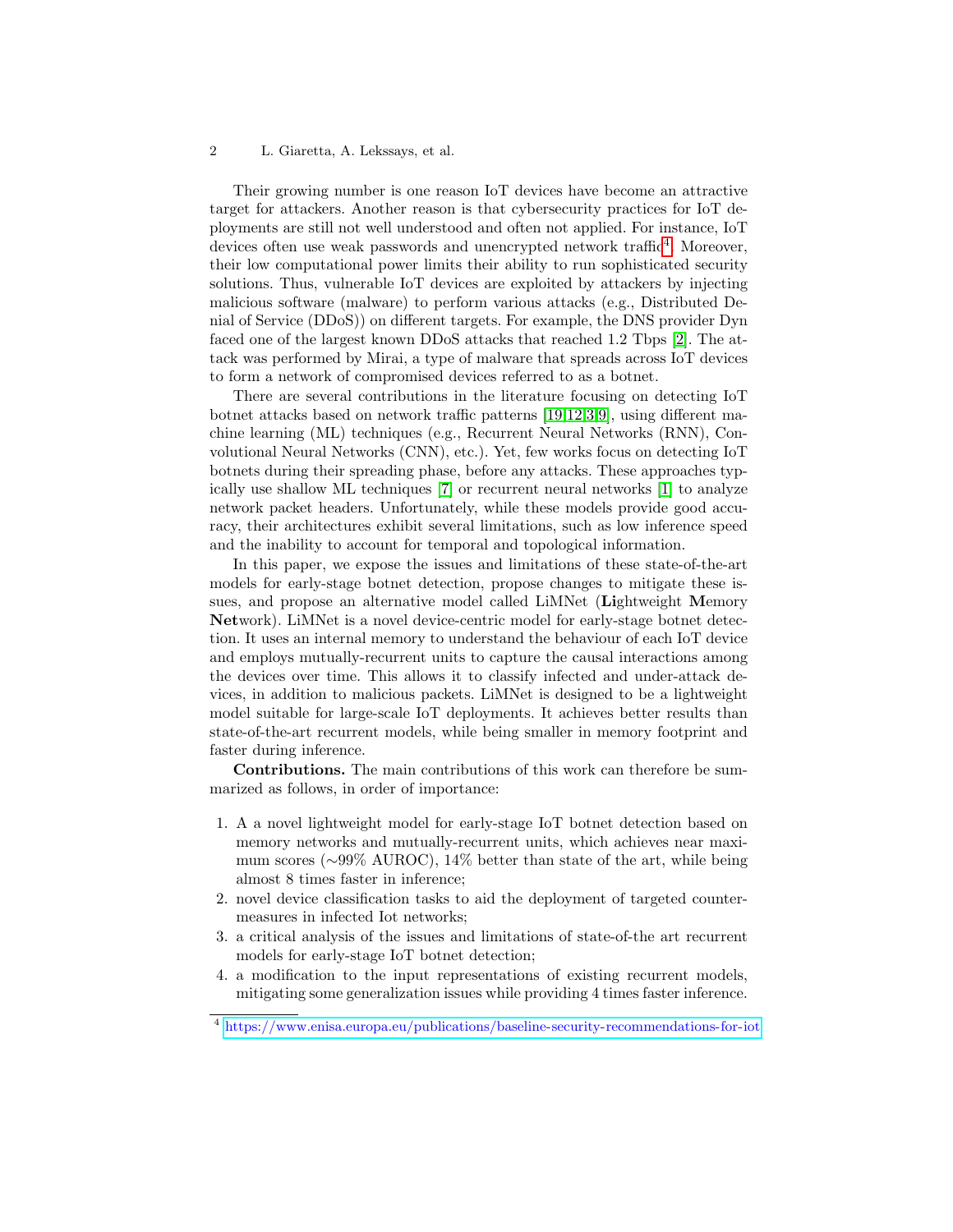Their growing number is one reason IoT devices have become an attractive target for attackers. Another reason is that cybersecurity practices for IoT deployments are still not well understood and often not applied. For instance, IoT devices often use weak passwords and unencrypted network traffic<sup>[4](#page-1-0)</sup>. Moreover, their low computational power limits their ability to run sophisticated security solutions. Thus, vulnerable IoT devices are exploited by attackers by injecting malicious software (malware) to perform various attacks (e.g., Distributed Denial of Service (DDoS)) on different targets. For example, the DNS provider Dyn faced one of the largest known DDoS attacks that reached 1.2 Tbps [\[2\]](#page-16-0). The attack was performed by Mirai, a type of malware that spreads across IoT devices to form a network of compromised devices referred to as a botnet.

There are several contributions in the literature focusing on detecting IoT botnet attacks based on network traffic patterns [\[19](#page-17-0)[,12,](#page-16-1)[3,](#page-16-2)[9\]](#page-16-3), using different machine learning (ML) techniques (e.g., Recurrent Neural Networks (RNN), Convolutional Neural Networks (CNN), etc.). Yet, few works focus on detecting IoT botnets during their spreading phase, before any attacks. These approaches typically use shallow ML techniques [\[7\]](#page-16-4) or recurrent neural networks [\[1\]](#page-16-5) to analyze network packet headers. Unfortunately, while these models provide good accuracy, their architectures exhibit several limitations, such as low inference speed and the inability to account for temporal and topological information.

In this paper, we expose the issues and limitations of these state-of-the-art models for early-stage botnet detection, propose changes to mitigate these issues, and propose an alternative model called LiMNet (Lightweight Memory Network). LiMNet is a novel device-centric model for early-stage botnet detection. It uses an internal memory to understand the behaviour of each IoT device and employs mutually-recurrent units to capture the causal interactions among the devices over time. This allows it to classify infected and under-attack devices, in addition to malicious packets. LiMNet is designed to be a lightweight model suitable for large-scale IoT deployments. It achieves better results than state-of-the-art recurrent models, while being smaller in memory footprint and faster during inference.

Contributions. The main contributions of this work can therefore be summarized as follows, in order of importance:

- 1. A a novel lightweight model for early-stage IoT botnet detection based on memory networks and mutually-recurrent units, which achieves near maximum scores (∼99% AUROC), 14% better than state of the art, while being almost 8 times faster in inference;
- 2. novel device classification tasks to aid the deployment of targeted countermeasures in infected Iot networks;
- 3. a critical analysis of the issues and limitations of state-of-the art recurrent models for early-stage IoT botnet detection;
- 4. a modification to the input representations of existing recurrent models, mitigating some generalization issues while providing 4 times faster inference.

<span id="page-1-0"></span><sup>4</sup> <https://www.enisa.europa.eu/publications/baseline-security-recommendations-for-iot>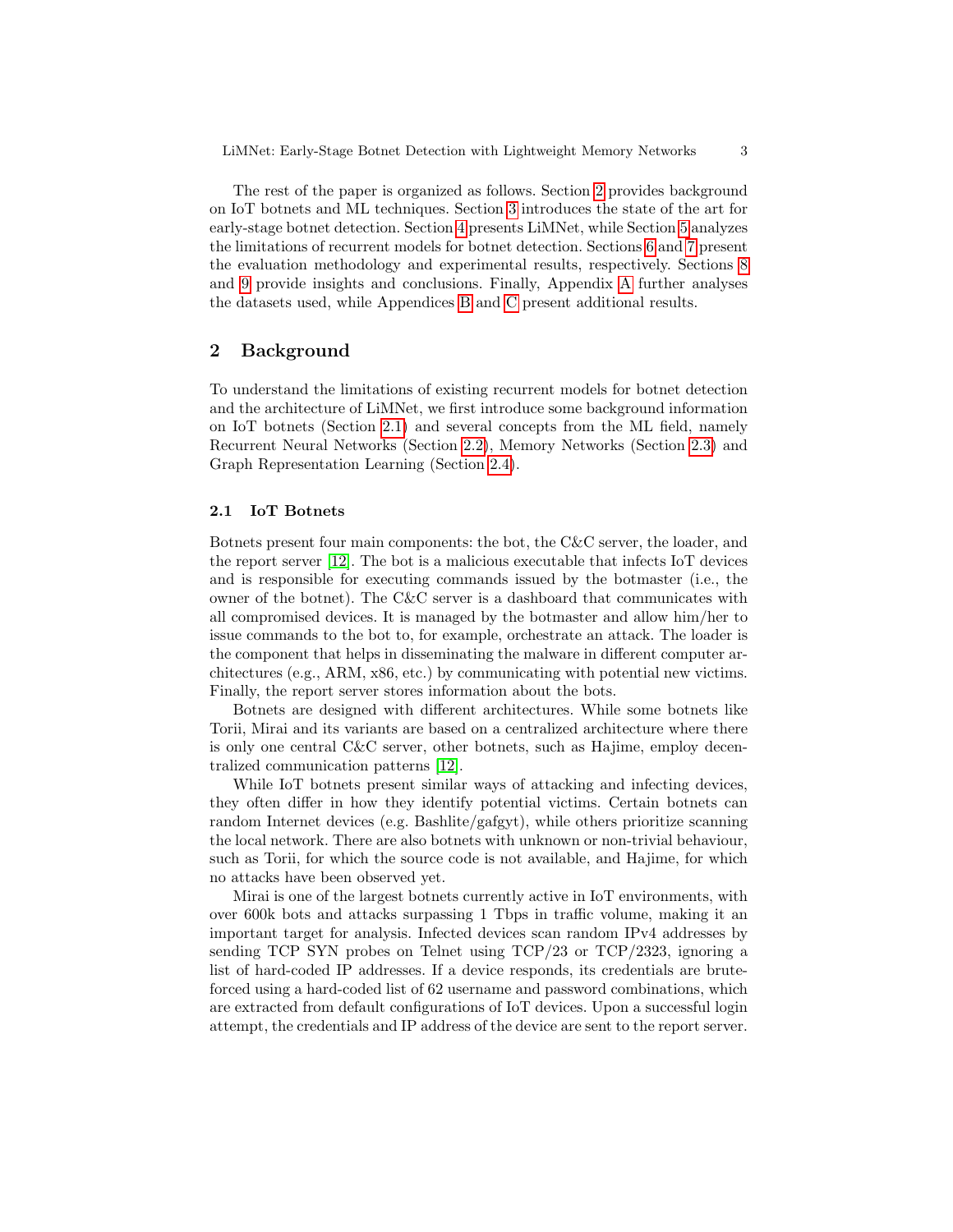The rest of the paper is organized as follows. Section [2](#page-2-0) provides background on IoT botnets and ML techniques. Section [3](#page-4-0) introduces the state of the art for early-stage botnet detection. Section [4](#page-5-0) presents LiMNet, while Section [5](#page-7-0) analyzes the limitations of recurrent models for botnet detection. Sections [6](#page-8-0) and [7](#page-10-0) present the evaluation methodology and experimental results, respectively. Sections [8](#page-14-0) and [9](#page-15-0) provide insights and conclusions. Finally, Appendix [A](#page-17-1) further analyses the datasets used, while Appendices [B](#page-18-0) and [C](#page-19-0) present additional results.

## <span id="page-2-0"></span>2 Background

To understand the limitations of existing recurrent models for botnet detection and the architecture of LiMNet, we first introduce some background information on IoT botnets (Section [2.1\)](#page-2-1) and several concepts from the ML field, namely Recurrent Neural Networks (Section [2.2\)](#page-3-0), Memory Networks (Section [2.3\)](#page-3-1) and Graph Representation Learning (Section [2.4\)](#page-4-1).

### <span id="page-2-1"></span>2.1 IoT Botnets

Botnets present four main components: the bot, the C&C server, the loader, and the report server [\[12\]](#page-16-1). The bot is a malicious executable that infects IoT devices and is responsible for executing commands issued by the botmaster (i.e., the owner of the botnet). The C&C server is a dashboard that communicates with all compromised devices. It is managed by the botmaster and allow him/her to issue commands to the bot to, for example, orchestrate an attack. The loader is the component that helps in disseminating the malware in different computer architectures (e.g., ARM, x86, etc.) by communicating with potential new victims. Finally, the report server stores information about the bots.

Botnets are designed with different architectures. While some botnets like Torii, Mirai and its variants are based on a centralized architecture where there is only one central C&C server, other botnets, such as Hajime, employ decentralized communication patterns [\[12\]](#page-16-1).

While IoT botnets present similar ways of attacking and infecting devices, they often differ in how they identify potential victims. Certain botnets can random Internet devices (e.g. Bashlite/gafgyt), while others prioritize scanning the local network. There are also botnets with unknown or non-trivial behaviour, such as Torii, for which the source code is not available, and Hajime, for which no attacks have been observed yet.

Mirai is one of the largest botnets currently active in IoT environments, with over 600k bots and attacks surpassing 1 Tbps in traffic volume, making it an important target for analysis. Infected devices scan random IPv4 addresses by sending TCP SYN probes on Telnet using  $TCP/23$  or  $TCP/2323$ , ignoring a list of hard-coded IP addresses. If a device responds, its credentials are bruteforced using a hard-coded list of 62 username and password combinations, which are extracted from default configurations of IoT devices. Upon a successful login attempt, the credentials and IP address of the device are sent to the report server.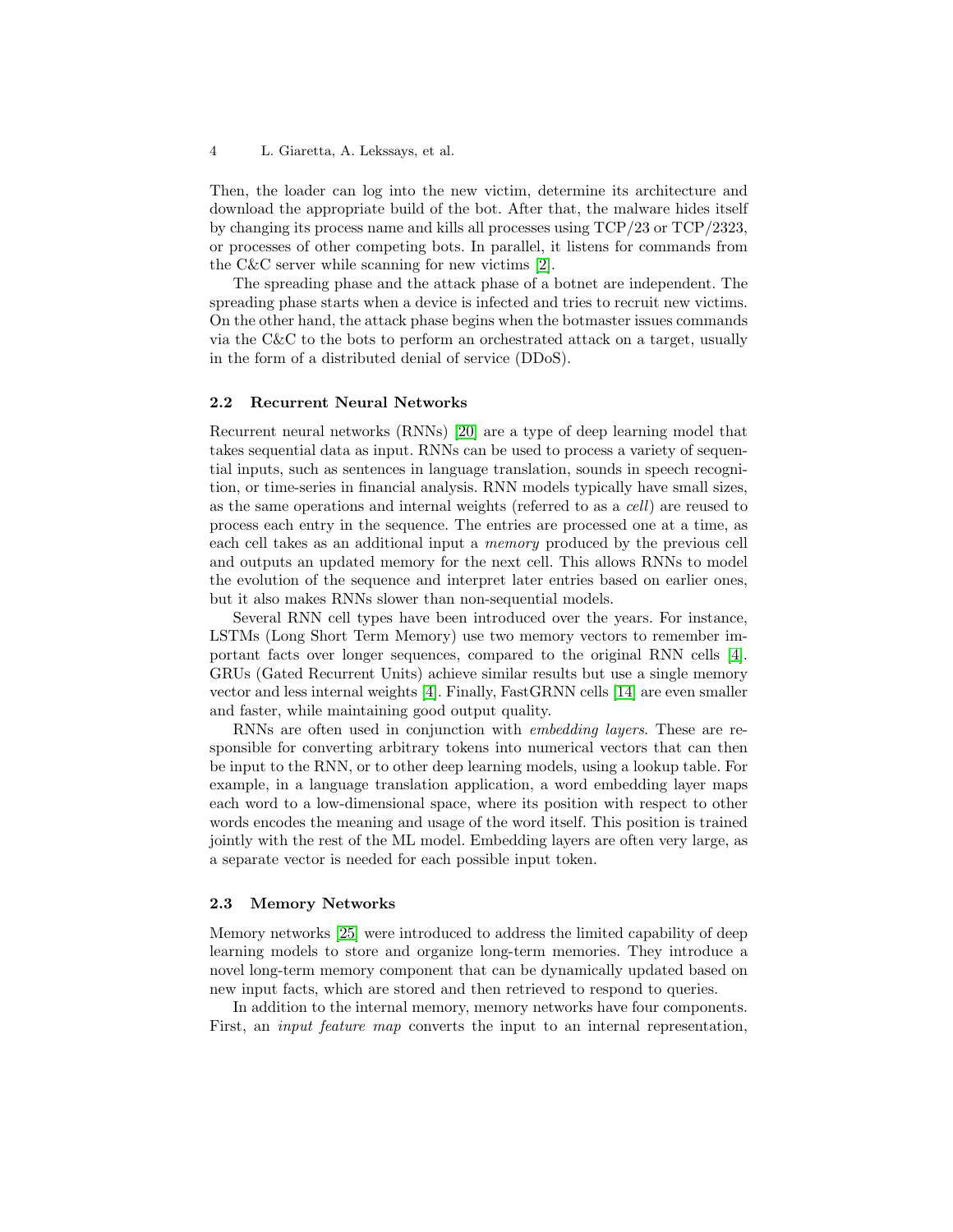Then, the loader can log into the new victim, determine its architecture and download the appropriate build of the bot. After that, the malware hides itself by changing its process name and kills all processes using TCP/23 or TCP/2323, or processes of other competing bots. In parallel, it listens for commands from the C&C server while scanning for new victims [\[2\]](#page-16-0).

The spreading phase and the attack phase of a botnet are independent. The spreading phase starts when a device is infected and tries to recruit new victims. On the other hand, the attack phase begins when the botmaster issues commands via the C&C to the bots to perform an orchestrated attack on a target, usually in the form of a distributed denial of service (DDoS).

#### <span id="page-3-0"></span>2.2 Recurrent Neural Networks

Recurrent neural networks (RNNs) [\[20\]](#page-17-2) are a type of deep learning model that takes sequential data as input. RNNs can be used to process a variety of sequential inputs, such as sentences in language translation, sounds in speech recognition, or time-series in financial analysis. RNN models typically have small sizes, as the same operations and internal weights (referred to as a cell) are reused to process each entry in the sequence. The entries are processed one at a time, as each cell takes as an additional input a memory produced by the previous cell and outputs an updated memory for the next cell. This allows RNNs to model the evolution of the sequence and interpret later entries based on earlier ones, but it also makes RNNs slower than non-sequential models.

Several RNN cell types have been introduced over the years. For instance, LSTMs (Long Short Term Memory) use two memory vectors to remember important facts over longer sequences, compared to the original RNN cells [\[4\]](#page-16-6). GRUs (Gated Recurrent Units) achieve similar results but use a single memory vector and less internal weights [\[4\]](#page-16-6). Finally, FastGRNN cells [\[14\]](#page-16-7) are even smaller and faster, while maintaining good output quality.

RNNs are often used in conjunction with embedding layers. These are responsible for converting arbitrary tokens into numerical vectors that can then be input to the RNN, or to other deep learning models, using a lookup table. For example, in a language translation application, a word embedding layer maps each word to a low-dimensional space, where its position with respect to other words encodes the meaning and usage of the word itself. This position is trained jointly with the rest of the ML model. Embedding layers are often very large, as a separate vector is needed for each possible input token.

#### <span id="page-3-1"></span>2.3 Memory Networks

Memory networks [\[25\]](#page-17-3) were introduced to address the limited capability of deep learning models to store and organize long-term memories. They introduce a novel long-term memory component that can be dynamically updated based on new input facts, which are stored and then retrieved to respond to queries.

In addition to the internal memory, memory networks have four components. First, an *input feature map* converts the input to an internal representation,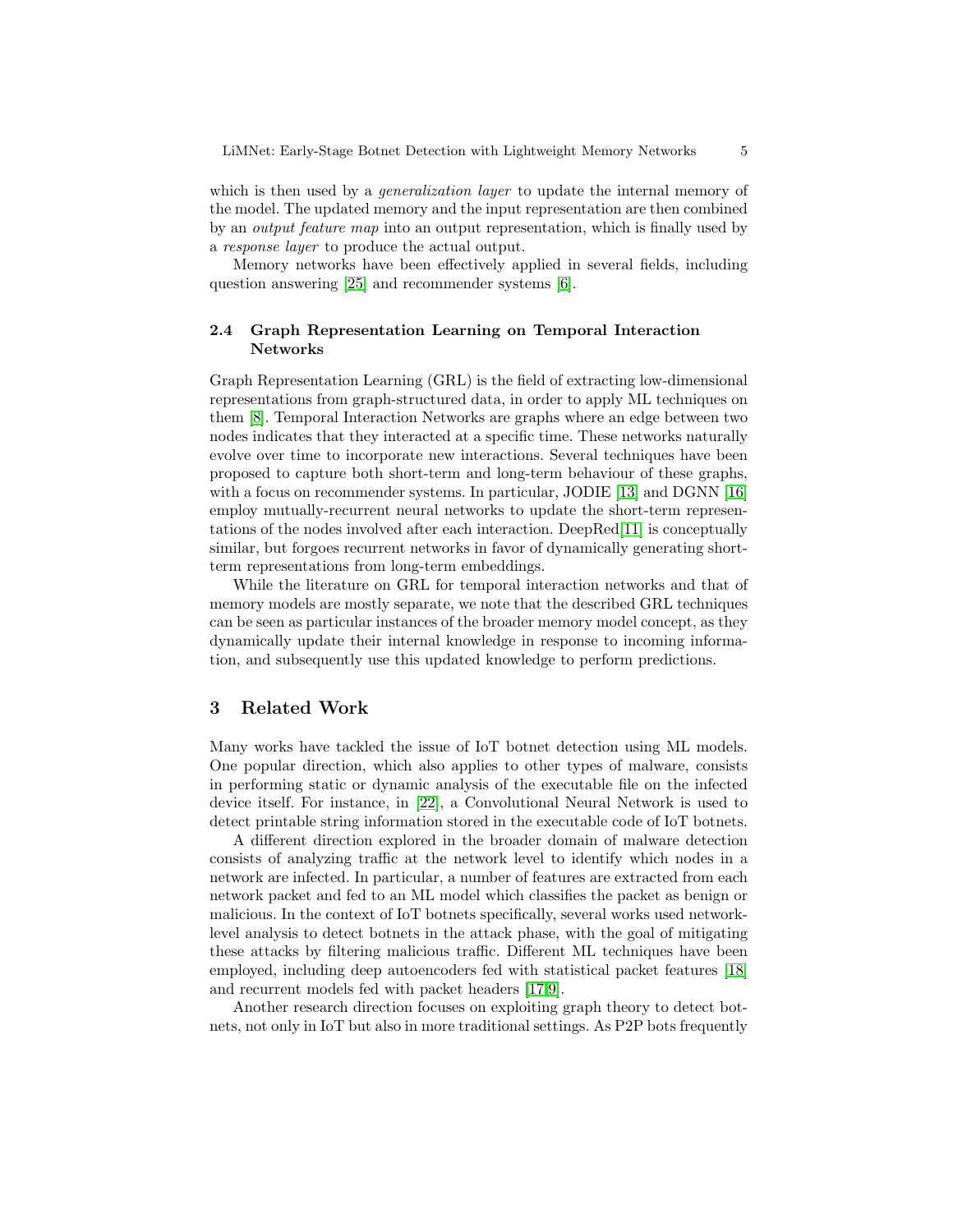which is then used by a *generalization layer* to update the internal memory of the model. The updated memory and the input representation are then combined by an output feature map into an output representation, which is finally used by a response layer to produce the actual output.

Memory networks have been effectively applied in several fields, including question answering [\[25\]](#page-17-3) and recommender systems [\[6\]](#page-16-8).

## <span id="page-4-1"></span>2.4 Graph Representation Learning on Temporal Interaction Networks

Graph Representation Learning (GRL) is the field of extracting low-dimensional representations from graph-structured data, in order to apply ML techniques on them [\[8\]](#page-16-9). Temporal Interaction Networks are graphs where an edge between two nodes indicates that they interacted at a specific time. These networks naturally evolve over time to incorporate new interactions. Several techniques have been proposed to capture both short-term and long-term behaviour of these graphs, with a focus on recommender systems. In particular, JODIE [\[13\]](#page-16-10) and DGNN [\[16\]](#page-16-11) employ mutually-recurrent neural networks to update the short-term representations of the nodes involved after each interaction. DeepRed[\[11\]](#page-16-12) is conceptually similar, but forgoes recurrent networks in favor of dynamically generating shortterm representations from long-term embeddings.

While the literature on GRL for temporal interaction networks and that of memory models are mostly separate, we note that the described GRL techniques can be seen as particular instances of the broader memory model concept, as they dynamically update their internal knowledge in response to incoming information, and subsequently use this updated knowledge to perform predictions.

## <span id="page-4-0"></span>3 Related Work

Many works have tackled the issue of IoT botnet detection using ML models. One popular direction, which also applies to other types of malware, consists in performing static or dynamic analysis of the executable file on the infected device itself. For instance, in [\[22\]](#page-17-4), a Convolutional Neural Network is used to detect printable string information stored in the executable code of IoT botnets.

A different direction explored in the broader domain of malware detection consists of analyzing traffic at the network level to identify which nodes in a network are infected. In particular, a number of features are extracted from each network packet and fed to an ML model which classifies the packet as benign or malicious. In the context of IoT botnets specifically, several works used networklevel analysis to detect botnets in the attack phase, with the goal of mitigating these attacks by filtering malicious traffic. Different ML techniques have been employed, including deep autoencoders fed with statistical packet features [\[18\]](#page-17-5) and recurrent models fed with packet headers [\[17,](#page-16-13)[9\]](#page-16-3).

Another research direction focuses on exploiting graph theory to detect botnets, not only in IoT but also in more traditional settings. As P2P bots frequently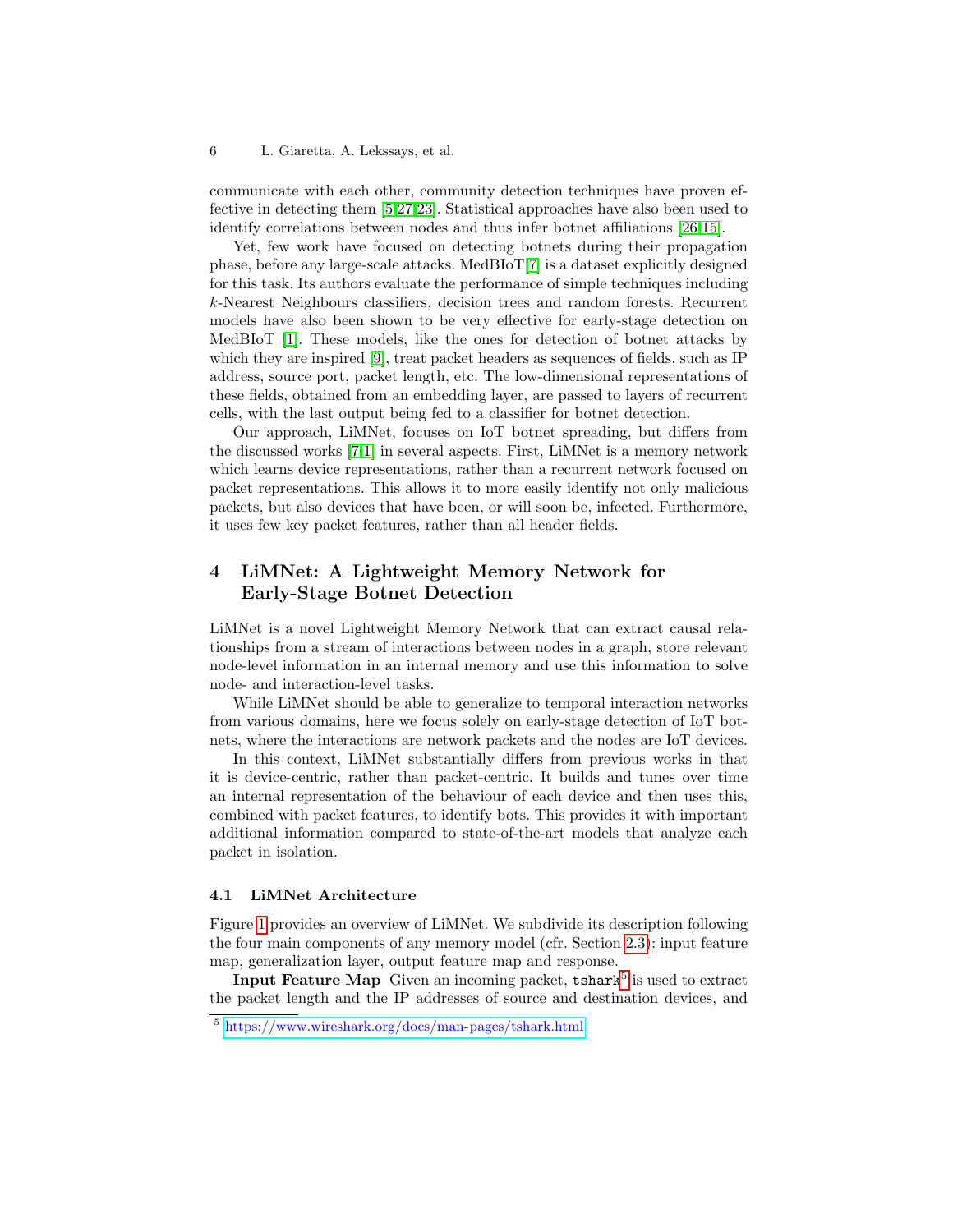communicate with each other, community detection techniques have proven effective in detecting them [\[5,](#page-16-14)[27,](#page-17-6)[23\]](#page-17-7). Statistical approaches have also been used to identify correlations between nodes and thus infer botnet affiliations [\[26,](#page-17-8)[15\]](#page-16-15).

Yet, few work have focused on detecting botnets during their propagation phase, before any large-scale attacks. MedBIoT[\[7\]](#page-16-4) is a dataset explicitly designed for this task. Its authors evaluate the performance of simple techniques including k-Nearest Neighbours classifiers, decision trees and random forests. Recurrent models have also been shown to be very effective for early-stage detection on MedBIoT [\[1\]](#page-16-5). These models, like the ones for detection of botnet attacks by which they are inspired [\[9\]](#page-16-3), treat packet headers as sequences of fields, such as IP address, source port, packet length, etc. The low-dimensional representations of these fields, obtained from an embedding layer, are passed to layers of recurrent cells, with the last output being fed to a classifier for botnet detection.

Our approach, LiMNet, focuses on IoT botnet spreading, but differs from the discussed works [\[7,](#page-16-4)[1\]](#page-16-5) in several aspects. First, LiMNet is a memory network which learns device representations, rather than a recurrent network focused on packet representations. This allows it to more easily identify not only malicious packets, but also devices that have been, or will soon be, infected. Furthermore, it uses few key packet features, rather than all header fields.

## <span id="page-5-0"></span>4 LiMNet: A Lightweight Memory Network for Early-Stage Botnet Detection

LiMNet is a novel Lightweight Memory Network that can extract causal relationships from a stream of interactions between nodes in a graph, store relevant node-level information in an internal memory and use this information to solve node- and interaction-level tasks.

While LiMNet should be able to generalize to temporal interaction networks from various domains, here we focus solely on early-stage detection of IoT botnets, where the interactions are network packets and the nodes are IoT devices.

In this context, LiMNet substantially differs from previous works in that it is device-centric, rather than packet-centric. It builds and tunes over time an internal representation of the behaviour of each device and then uses this, combined with packet features, to identify bots. This provides it with important additional information compared to state-of-the-art models that analyze each packet in isolation.

#### 4.1 LiMNet Architecture

Figure [1](#page-6-0) provides an overview of LiMNet. We subdivide its description following the four main components of any memory model (cfr. Section [2.3\)](#page-3-1): input feature map, generalization layer, output feature map and response.

Input Feature Map Given an incoming packet,  $t$ shark $^5$  $^5$  is used to extract the packet length and the IP addresses of source and destination devices, and

<span id="page-5-1"></span><sup>5</sup> <https://www.wireshark.org/docs/man-pages/tshark.html>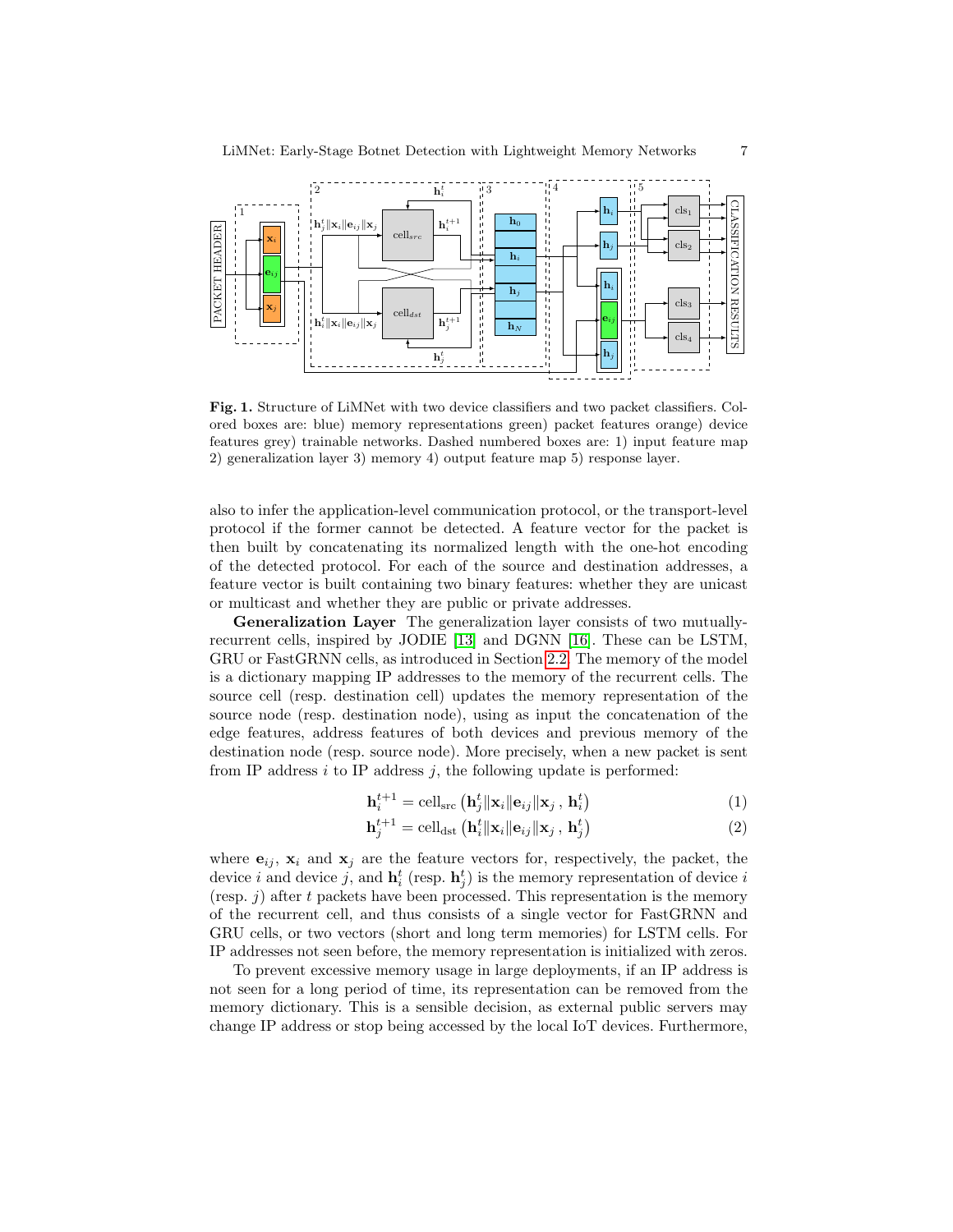

<span id="page-6-0"></span>Fig. 1. Structure of LiMNet with two device classifiers and two packet classifiers. Colored boxes are: blue) memory representations green) packet features orange) device features grey) trainable networks. Dashed numbered boxes are: 1) input feature map 2) generalization layer 3) memory 4) output feature map 5) response layer.

also to infer the application-level communication protocol, or the transport-level protocol if the former cannot be detected. A feature vector for the packet is then built by concatenating its normalized length with the one-hot encoding of the detected protocol. For each of the source and destination addresses, a feature vector is built containing two binary features: whether they are unicast or multicast and whether they are public or private addresses.

Generalization Layer The generalization layer consists of two mutuallyrecurrent cells, inspired by JODIE [\[13\]](#page-16-10) and DGNN [\[16\]](#page-16-11). These can be LSTM, GRU or FastGRNN cells, as introduced in Section [2.2.](#page-3-0) The memory of the model is a dictionary mapping IP addresses to the memory of the recurrent cells. The source cell (resp. destination cell) updates the memory representation of the source node (resp. destination node), using as input the concatenation of the edge features, address features of both devices and previous memory of the destination node (resp. source node). More precisely, when a new packet is sent from IP address  $i$  to IP address  $j$ , the following update is performed:

$$
\mathbf{h}_{i}^{t+1} = \text{cell}_{\text{src}}\left(\mathbf{h}_{j}^{t} \|\mathbf{x}_{i}\|\mathbf{e}_{ij}\|\mathbf{x}_{j}\,,\,\mathbf{h}_{i}^{t}\right) \tag{1}
$$

$$
\mathbf{h}_{j}^{t+1} = \text{cell}_{\text{dst}}\left(\mathbf{h}_{i}^{t} \|\mathbf{x}_{i}\|\mathbf{e}_{ij}\|\mathbf{x}_{j}\,,\,\mathbf{h}_{j}^{t}\right) \tag{2}
$$

where  $e_{ij}$ ,  $x_i$  and  $x_j$  are the feature vectors for, respectively, the packet, the device i and device j, and  $\mathbf{h}_i^t$  (resp.  $\mathbf{h}_j^t$ ) is the memory representation of device i (resp.  $j$ ) after t packets have been processed. This representation is the memory of the recurrent cell, and thus consists of a single vector for FastGRNN and GRU cells, or two vectors (short and long term memories) for LSTM cells. For IP addresses not seen before, the memory representation is initialized with zeros.

To prevent excessive memory usage in large deployments, if an IP address is not seen for a long period of time, its representation can be removed from the memory dictionary. This is a sensible decision, as external public servers may change IP address or stop being accessed by the local IoT devices. Furthermore,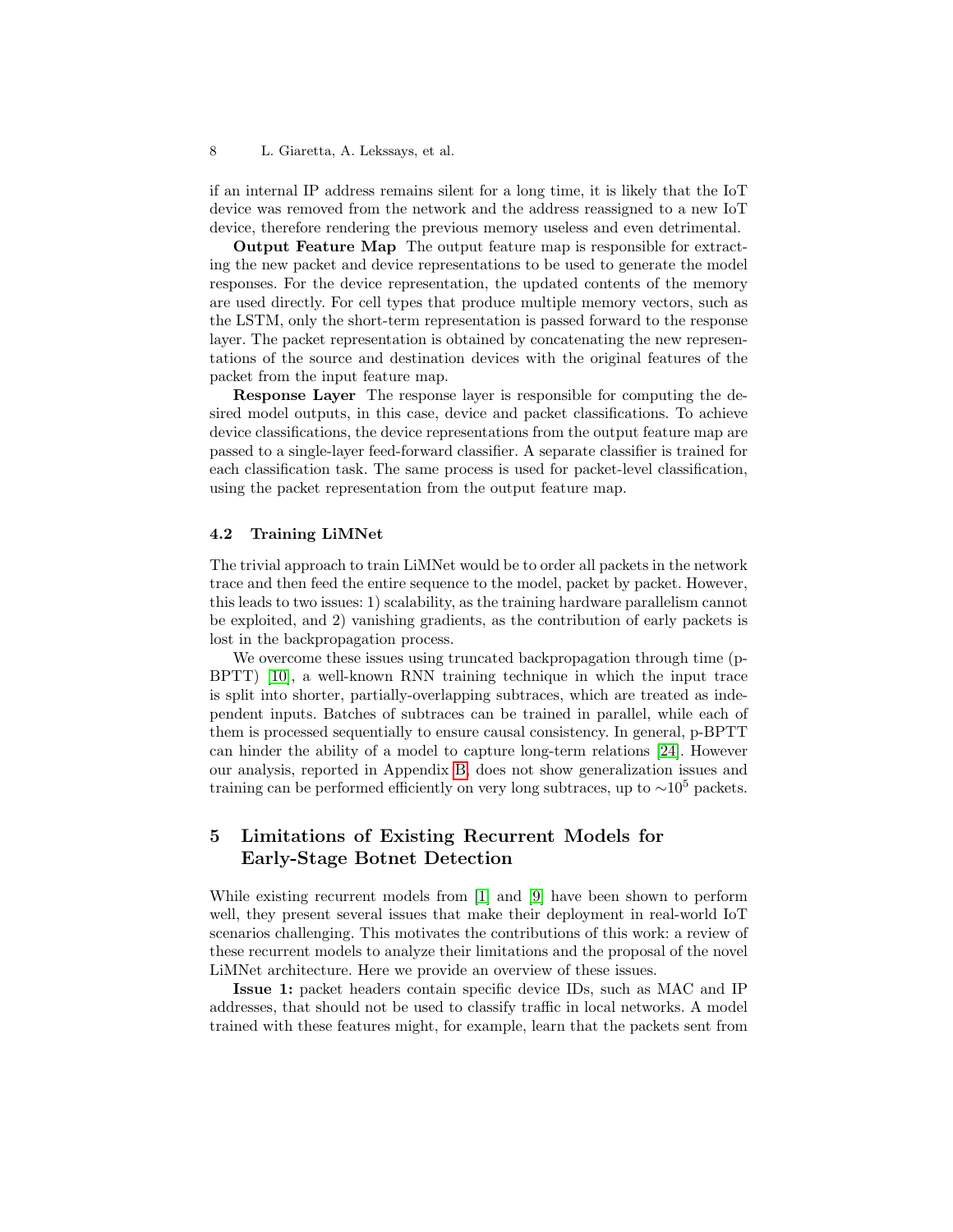if an internal IP address remains silent for a long time, it is likely that the IoT device was removed from the network and the address reassigned to a new IoT device, therefore rendering the previous memory useless and even detrimental.

Output Feature Map The output feature map is responsible for extracting the new packet and device representations to be used to generate the model responses. For the device representation, the updated contents of the memory are used directly. For cell types that produce multiple memory vectors, such as the LSTM, only the short-term representation is passed forward to the response layer. The packet representation is obtained by concatenating the new representations of the source and destination devices with the original features of the packet from the input feature map.

Response Layer The response layer is responsible for computing the desired model outputs, in this case, device and packet classifications. To achieve device classifications, the device representations from the output feature map are passed to a single-layer feed-forward classifier. A separate classifier is trained for each classification task. The same process is used for packet-level classification, using the packet representation from the output feature map.

#### 4.2 Training LiMNet

The trivial approach to train LiMNet would be to order all packets in the network trace and then feed the entire sequence to the model, packet by packet. However, this leads to two issues: 1) scalability, as the training hardware parallelism cannot be exploited, and 2) vanishing gradients, as the contribution of early packets is lost in the backpropagation process.

We overcome these issues using truncated backpropagation through time (p-BPTT) [\[10\]](#page-16-16), a well-known RNN training technique in which the input trace is split into shorter, partially-overlapping subtraces, which are treated as independent inputs. Batches of subtraces can be trained in parallel, while each of them is processed sequentially to ensure causal consistency. In general, p-BPTT can hinder the ability of a model to capture long-term relations [\[24\]](#page-17-9). However our analysis, reported in Appendix [B,](#page-18-0) does not show generalization issues and training can be performed efficiently on very long subtraces, up to  $\sim 10^5$  packets.

## <span id="page-7-0"></span>5 Limitations of Existing Recurrent Models for Early-Stage Botnet Detection

While existing recurrent models from [\[1\]](#page-16-5) and [\[9\]](#page-16-3) have been shown to perform well, they present several issues that make their deployment in real-world IoT scenarios challenging. This motivates the contributions of this work: a review of these recurrent models to analyze their limitations and the proposal of the novel LiMNet architecture. Here we provide an overview of these issues.

Issue 1: packet headers contain specific device IDs, such as MAC and IP addresses, that should not be used to classify traffic in local networks. A model trained with these features might, for example, learn that the packets sent from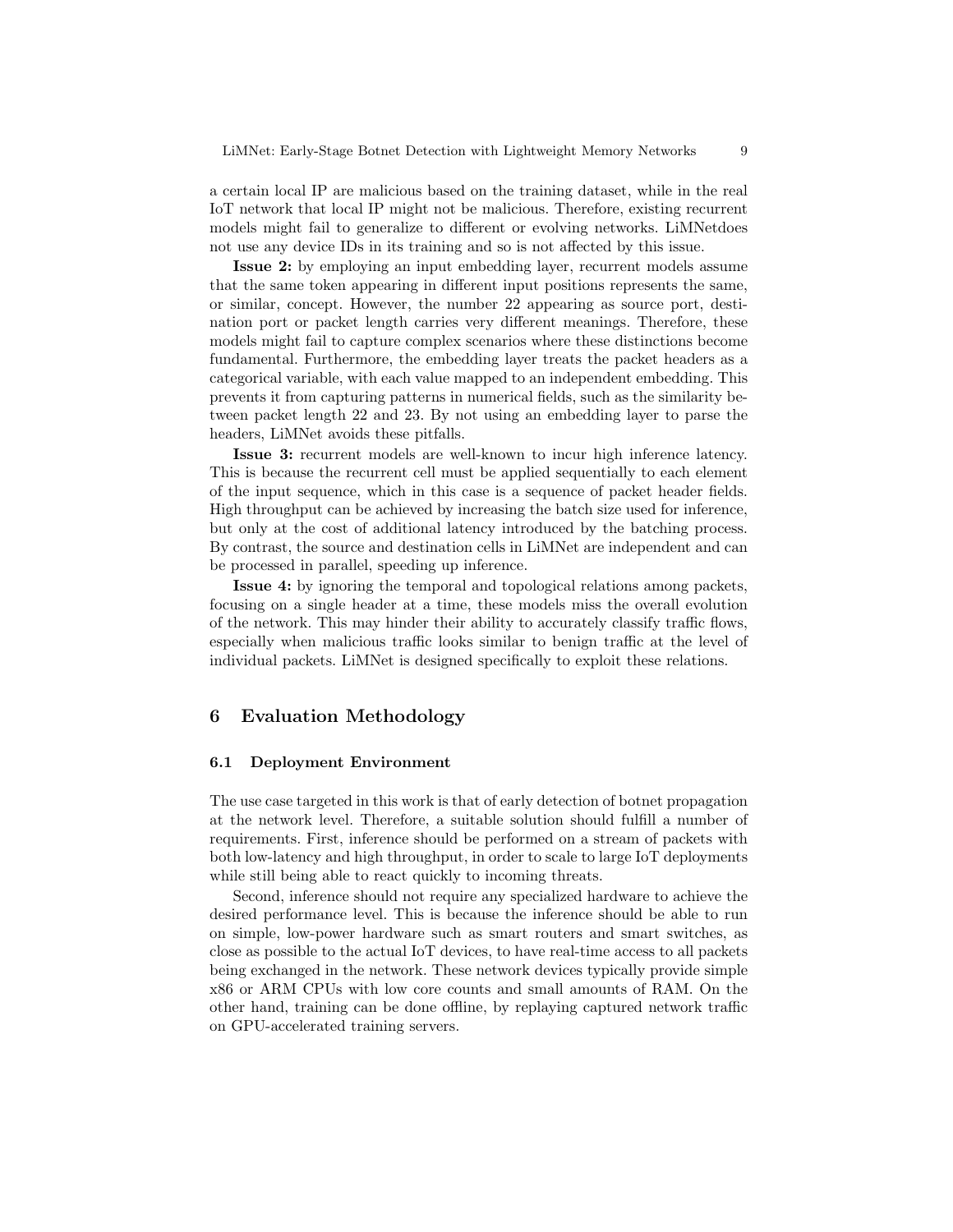a certain local IP are malicious based on the training dataset, while in the real IoT network that local IP might not be malicious. Therefore, existing recurrent models might fail to generalize to different or evolving networks. LiMNetdoes not use any device IDs in its training and so is not affected by this issue.

Issue 2: by employing an input embedding layer, recurrent models assume that the same token appearing in different input positions represents the same, or similar, concept. However, the number 22 appearing as source port, destination port or packet length carries very different meanings. Therefore, these models might fail to capture complex scenarios where these distinctions become fundamental. Furthermore, the embedding layer treats the packet headers as a categorical variable, with each value mapped to an independent embedding. This prevents it from capturing patterns in numerical fields, such as the similarity between packet length 22 and 23. By not using an embedding layer to parse the headers, LiMNet avoids these pitfalls.

Issue 3: recurrent models are well-known to incur high inference latency. This is because the recurrent cell must be applied sequentially to each element of the input sequence, which in this case is a sequence of packet header fields. High throughput can be achieved by increasing the batch size used for inference, but only at the cost of additional latency introduced by the batching process. By contrast, the source and destination cells in LiMNet are independent and can be processed in parallel, speeding up inference.

Issue 4: by ignoring the temporal and topological relations among packets, focusing on a single header at a time, these models miss the overall evolution of the network. This may hinder their ability to accurately classify traffic flows, especially when malicious traffic looks similar to benign traffic at the level of individual packets. LiMNet is designed specifically to exploit these relations.

## <span id="page-8-0"></span>6 Evaluation Methodology

#### <span id="page-8-1"></span>6.1 Deployment Environment

The use case targeted in this work is that of early detection of botnet propagation at the network level. Therefore, a suitable solution should fulfill a number of requirements. First, inference should be performed on a stream of packets with both low-latency and high throughput, in order to scale to large IoT deployments while still being able to react quickly to incoming threats.

Second, inference should not require any specialized hardware to achieve the desired performance level. This is because the inference should be able to run on simple, low-power hardware such as smart routers and smart switches, as close as possible to the actual IoT devices, to have real-time access to all packets being exchanged in the network. These network devices typically provide simple x86 or ARM CPUs with low core counts and small amounts of RAM. On the other hand, training can be done offline, by replaying captured network traffic on GPU-accelerated training servers.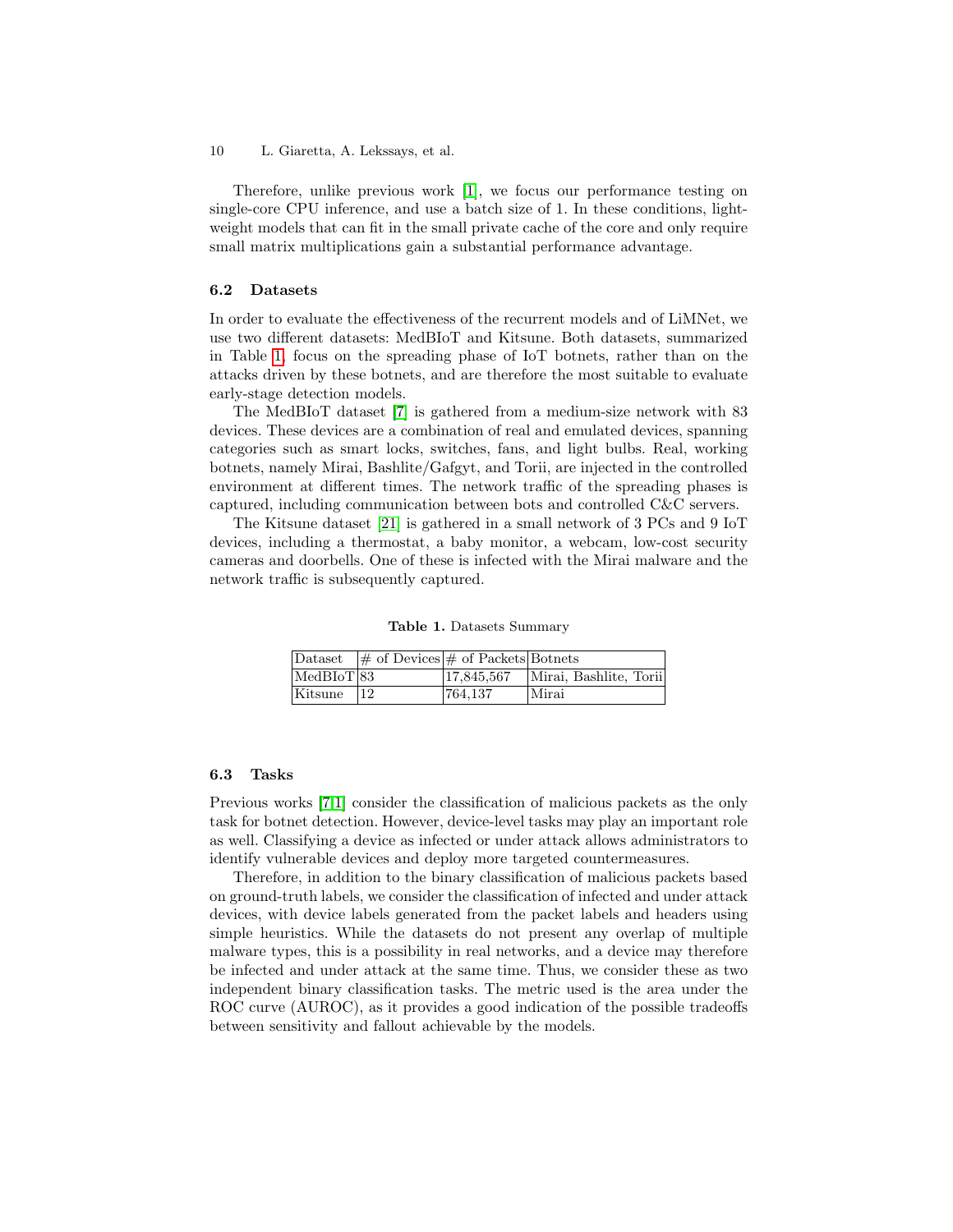Therefore, unlike previous work [\[1\]](#page-16-5), we focus our performance testing on single-core CPU inference, and use a batch size of 1. In these conditions, lightweight models that can fit in the small private cache of the core and only require small matrix multiplications gain a substantial performance advantage.

#### 6.2 Datasets

In order to evaluate the effectiveness of the recurrent models and of LiMNet, we use two different datasets: MedBIoT and Kitsune. Both datasets, summarized in Table [1,](#page-9-0) focus on the spreading phase of IoT botnets, rather than on the attacks driven by these botnets, and are therefore the most suitable to evaluate early-stage detection models.

The MedBIoT dataset [\[7\]](#page-16-4) is gathered from a medium-size network with 83 devices. These devices are a combination of real and emulated devices, spanning categories such as smart locks, switches, fans, and light bulbs. Real, working botnets, namely Mirai, Bashlite/Gafgyt, and Torii, are injected in the controlled environment at different times. The network traffic of the spreading phases is captured, including communication between bots and controlled C&C servers.

The Kitsune dataset [\[21\]](#page-17-10) is gathered in a small network of 3 PCs and 9 IoT devices, including a thermostat, a baby monitor, a webcam, low-cost security cameras and doorbells. One of these is infected with the Mirai malware and the network traffic is subsequently captured.

<span id="page-9-0"></span>Table 1. Datasets Summary

|                            | Dataset $\#$ of Devices $\#$ of Packets Botnets |            |                        |
|----------------------------|-------------------------------------------------|------------|------------------------|
| $ \text{MedBIoT} 83$       |                                                 | 17,845,567 | Mirai, Bashlite, Torii |
| $\vert$ Kitsune $\vert$ 12 |                                                 | 764.137    | Mirai                  |

#### 6.3 Tasks

Previous works [\[7,](#page-16-4)[1\]](#page-16-5) consider the classification of malicious packets as the only task for botnet detection. However, device-level tasks may play an important role as well. Classifying a device as infected or under attack allows administrators to identify vulnerable devices and deploy more targeted countermeasures.

Therefore, in addition to the binary classification of malicious packets based on ground-truth labels, we consider the classification of infected and under attack devices, with device labels generated from the packet labels and headers using simple heuristics. While the datasets do not present any overlap of multiple malware types, this is a possibility in real networks, and a device may therefore be infected and under attack at the same time. Thus, we consider these as two independent binary classification tasks. The metric used is the area under the ROC curve (AUROC), as it provides a good indication of the possible tradeoffs between sensitivity and fallout achievable by the models.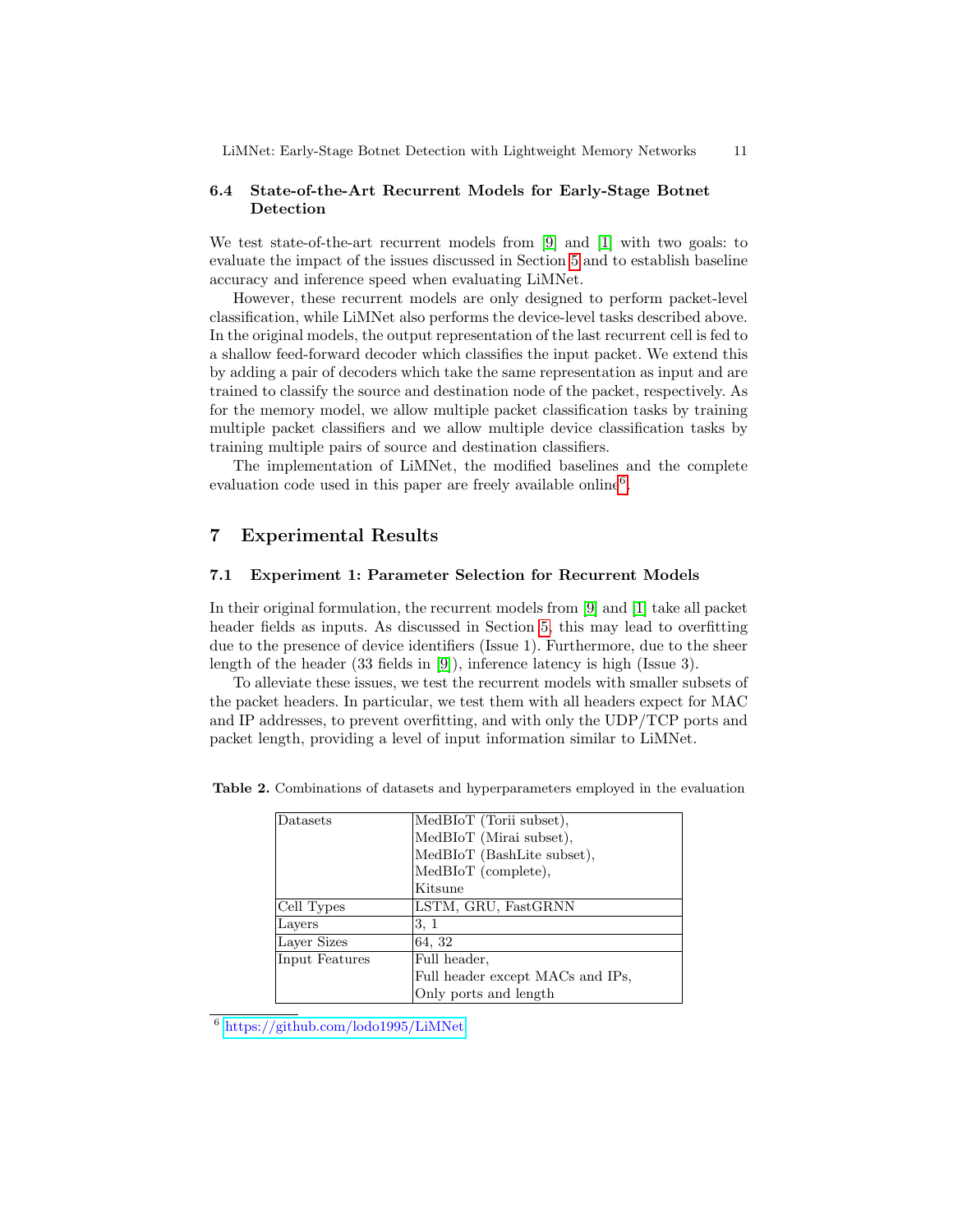### 6.4 State-of-the-Art Recurrent Models for Early-Stage Botnet Detection

We test state-of-the-art recurrent models from [\[9\]](#page-16-3) and [\[1\]](#page-16-5) with two goals: to evaluate the impact of the issues discussed in Section [5](#page-7-0) and to establish baseline accuracy and inference speed when evaluating LiMNet.

However, these recurrent models are only designed to perform packet-level classification, while LiMNet also performs the device-level tasks described above. In the original models, the output representation of the last recurrent cell is fed to a shallow feed-forward decoder which classifies the input packet. We extend this by adding a pair of decoders which take the same representation as input and are trained to classify the source and destination node of the packet, respectively. As for the memory model, we allow multiple packet classification tasks by training multiple packet classifiers and we allow multiple device classification tasks by training multiple pairs of source and destination classifiers.

The implementation of LiMNet, the modified baselines and the complete evaluation code used in this paper are freely available online<sup>[6](#page-10-1)</sup>.

## <span id="page-10-0"></span>7 Experimental Results

#### 7.1 Experiment 1: Parameter Selection for Recurrent Models

In their original formulation, the recurrent models from [\[9\]](#page-16-3) and [\[1\]](#page-16-5) take all packet header fields as inputs. As discussed in Section [5,](#page-7-0) this may lead to overfitting due to the presence of device identifiers (Issue 1). Furthermore, due to the sheer length of the header (33 fields in [\[9\]](#page-16-3)), inference latency is high (Issue 3).

To alleviate these issues, we test the recurrent models with smaller subsets of the packet headers. In particular, we test them with all headers expect for MAC and IP addresses, to prevent overfitting, and with only the UDP/TCP ports and packet length, providing a level of input information similar to LiMNet.

<span id="page-10-2"></span>

| Datasets       | MedBIoT (Torii subset),          |
|----------------|----------------------------------|
|                | MedBIoT (Mirai subset),          |
|                | MedBIoT (BashLite subset),       |
|                | MedBIoT (complete),              |
|                | Kitsune                          |
| Cell Types     | LSTM, GRU, FastGRNN              |
| Layers         | 3, 1                             |
| Layer Sizes    | 64, 32                           |
| Input Features | Full header,                     |
|                | Full header except MACs and IPs, |
|                | Only ports and length            |

Table 2. Combinations of datasets and hyperparameters employed in the evaluation

<span id="page-10-1"></span><sup>6</sup> <https://github.com/lodo1995/LiMNet>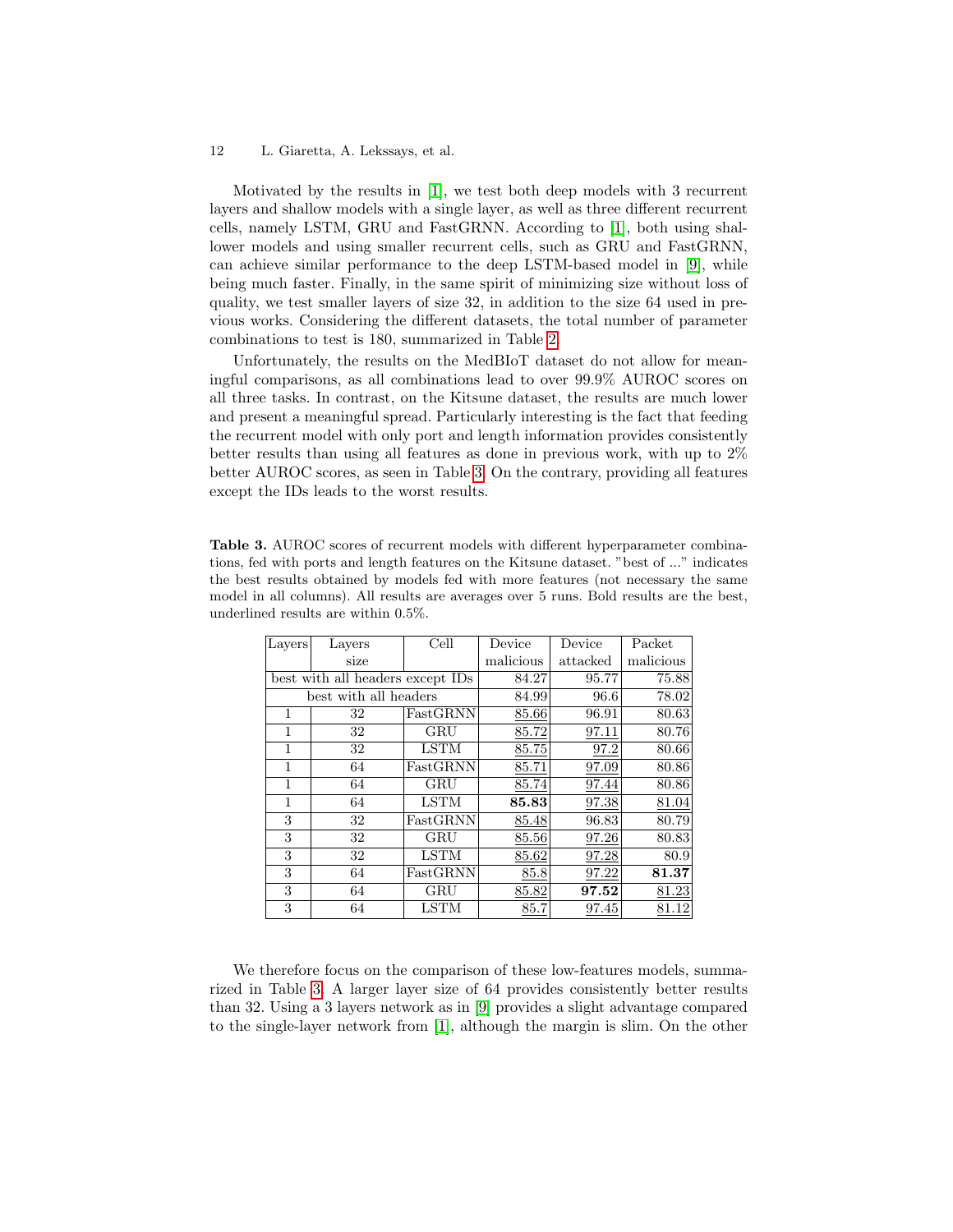Motivated by the results in [\[1\]](#page-16-5), we test both deep models with 3 recurrent layers and shallow models with a single layer, as well as three different recurrent cells, namely LSTM, GRU and FastGRNN. According to [\[1\]](#page-16-5), both using shallower models and using smaller recurrent cells, such as GRU and FastGRNN, can achieve similar performance to the deep LSTM-based model in [\[9\]](#page-16-3), while being much faster. Finally, in the same spirit of minimizing size without loss of quality, we test smaller layers of size 32, in addition to the size 64 used in previous works. Considering the different datasets, the total number of parameter combinations to test is 180, summarized in Table [2.](#page-10-2)

Unfortunately, the results on the MedBIoT dataset do not allow for meaningful comparisons, as all combinations lead to over 99.9% AUROC scores on all three tasks. In contrast, on the Kitsune dataset, the results are much lower and present a meaningful spread. Particularly interesting is the fact that feeding the recurrent model with only port and length information provides consistently better results than using all features as done in previous work, with up to 2% better AUROC scores, as seen in Table [3.](#page-11-0) On the contrary, providing all features except the IDs leads to the worst results.

<span id="page-11-0"></span>Table 3. AUROC scores of recurrent models with different hyperparameter combinations, fed with ports and length features on the Kitsune dataset. "best of ..." indicates the best results obtained by models fed with more features (not necessary the same model in all columns). All results are averages over 5 runs. Bold results are the best, underlined results are within 0.5%.

| Layers                           | Layers                | Cell        | Device    | Device   | Packet    |
|----------------------------------|-----------------------|-------------|-----------|----------|-----------|
|                                  | size                  |             | malicious | attacked | malicious |
| best with all headers except IDs |                       |             | 84.27     | 95.77    | 75.88     |
|                                  | best with all headers |             | 84.99     | 96.6     | 78.02     |
| 1                                | 32                    | FastGRNN    | 85.66     | 96.91    | 80.63     |
| 1                                | 32                    | GRU         | 85.72     | 97.11    | 80.76     |
| 1                                | 32                    | <b>LSTM</b> | 85.75     | 97.2     | 80.66     |
| 1                                | 64                    | FastGRNN    | 85.71     | 97.09    | 80.86     |
| 1                                | 64                    | GRU         | 85.74     | 97.44    | 80.86     |
| 1                                | 64                    | <b>LSTM</b> | 85.83     | 97.38    | 81.04     |
| 3                                | 32                    | FastGRNN    | 85.48     | 96.83    | 80.79     |
| 3                                | 32                    | GRU         | 85.56     | 97.26    | 80.83     |
| 3                                | 32                    | <b>LSTM</b> | 85.62     | 97.28    | 80.9      |
| 3                                | 64                    | FastGRNN    | 85.8      | 97.22    | 81.37     |
| 3                                | 64                    | GRU         | 85.82     | 97.52    | 81.23     |
| 3                                | 64                    | <b>LSTM</b> | 85.7      | 97.45    | 81.12     |

We therefore focus on the comparison of these low-features models, summarized in Table [3.](#page-11-0) A larger layer size of 64 provides consistently better results than 32. Using a 3 layers network as in [\[9\]](#page-16-3) provides a slight advantage compared to the single-layer network from [\[1\]](#page-16-5), although the margin is slim. On the other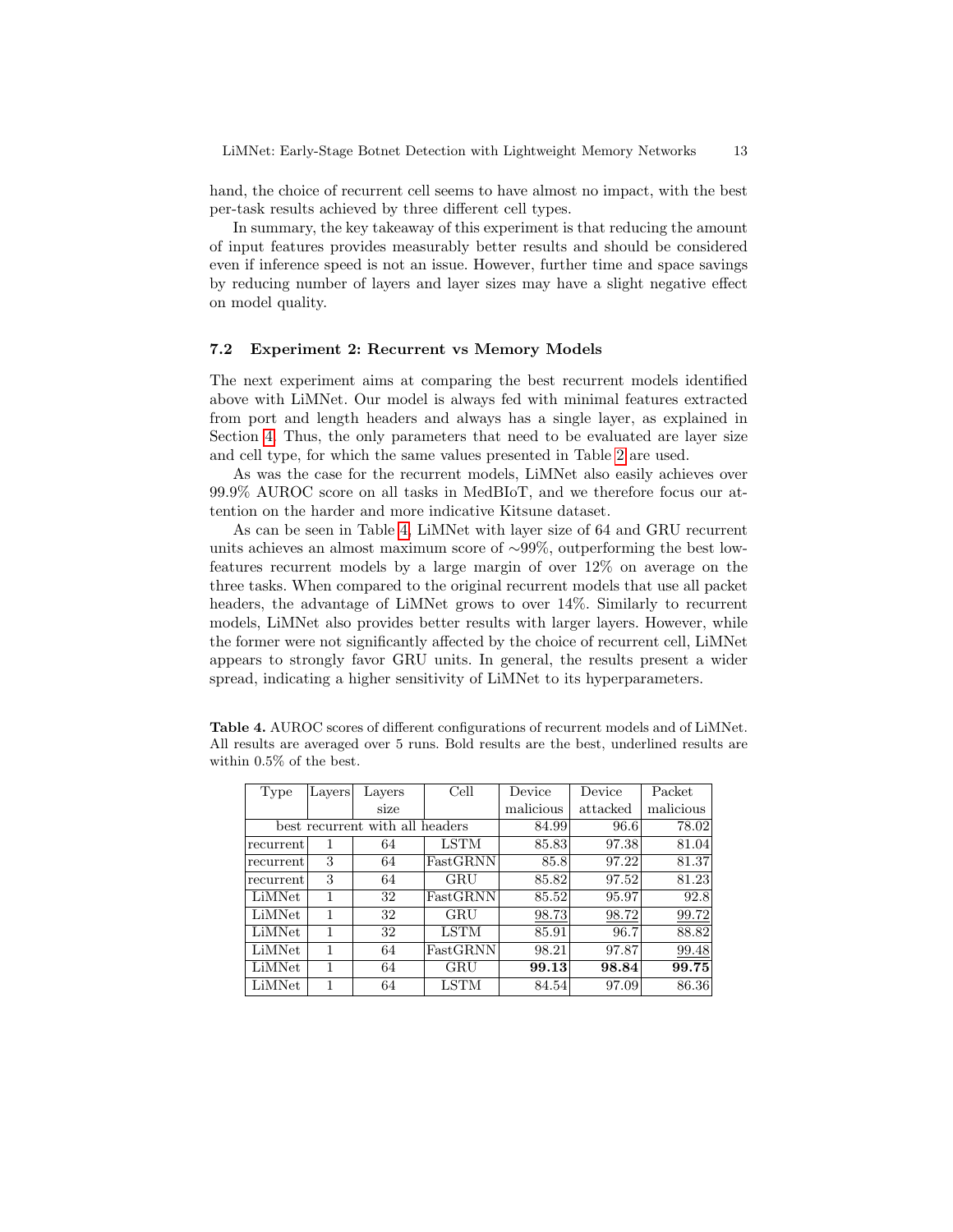hand, the choice of recurrent cell seems to have almost no impact, with the best per-task results achieved by three different cell types.

In summary, the key takeaway of this experiment is that reducing the amount of input features provides measurably better results and should be considered even if inference speed is not an issue. However, further time and space savings by reducing number of layers and layer sizes may have a slight negative effect on model quality.

#### 7.2 Experiment 2: Recurrent vs Memory Models

The next experiment aims at comparing the best recurrent models identified above with LiMNet. Our model is always fed with minimal features extracted from port and length headers and always has a single layer, as explained in Section [4.](#page-5-0) Thus, the only parameters that need to be evaluated are layer size and cell type, for which the same values presented in Table [2](#page-10-2) are used.

As was the case for the recurrent models, LiMNet also easily achieves over 99.9% AUROC score on all tasks in MedBIoT, and we therefore focus our attention on the harder and more indicative Kitsune dataset.

As can be seen in Table [4,](#page-12-0) LiMNet with layer size of 64 and GRU recurrent units achieves an almost maximum score of ∼99%, outperforming the best lowfeatures recurrent models by a large margin of over 12% on average on the three tasks. When compared to the original recurrent models that use all packet headers, the advantage of LiMNet grows to over 14%. Similarly to recurrent models, LiMNet also provides better results with larger layers. However, while the former were not significantly affected by the choice of recurrent cell, LiMNet appears to strongly favor GRU units. In general, the results present a wider spread, indicating a higher sensitivity of LiMNet to its hyperparameters.

| Type      | Layers | Layers                          | Cell        | Device    | Device   | Packet    |
|-----------|--------|---------------------------------|-------------|-----------|----------|-----------|
|           |        | size                            |             | malicious | attacked | malicious |
|           |        | best recurrent with all headers | 84.99       | 96.6      | 78.02    |           |
| recurrent |        | 64                              | <b>LSTM</b> | 85.83     | 97.38    | 81.04     |
| recurrent | 3      | 64                              | FastGRNN    | 85.8      | 97.22    | 81.37     |
| recurrent | 3      | 64                              | GRU         | 85.82     | 97.52    | 81.23     |
| LiMNet    | 1      | 32                              | FastGRNN    | 85.52     | 95.97    | 92.8      |
| LiMNet    | 1      | 32                              | GRU         | 98.73     | 98.72    | 99.72     |
| LiMNet    | 1      | 32                              | LSTM        | 85.91     | 96.7     | 88.82     |
| LiMNet    | 1      | 64                              | FastGRNN    | 98.21     | 97.87    | 99.48     |
| LiMNet    | 1      | 64                              | GRU         | 99.13     | 98.84    | 99.75     |
| LiMNet    | 1      | 64                              | <b>LSTM</b> | 84.54     | 97.09    | 86.36     |

<span id="page-12-0"></span>Table 4. AUROC scores of different configurations of recurrent models and of LiMNet. All results are averaged over 5 runs. Bold results are the best, underlined results are within 0.5% of the best.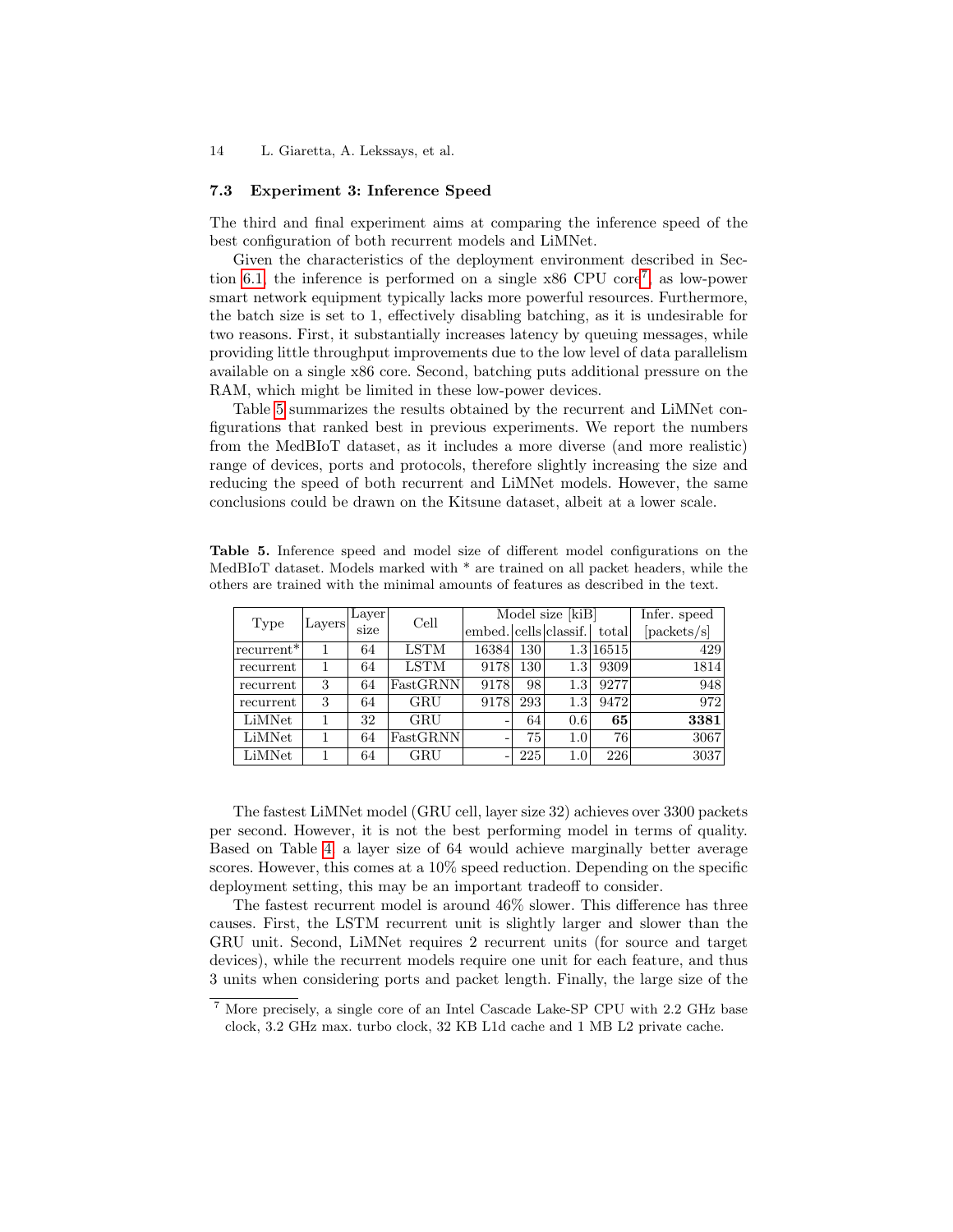#### <span id="page-13-2"></span>7.3 Experiment 3: Inference Speed

The third and final experiment aims at comparing the inference speed of the best configuration of both recurrent models and LiMNet.

Given the characteristics of the deployment environment described in Sec-tion [6.1,](#page-8-1) the inference is performed on a single x86 CPU core<sup>[7](#page-13-0)</sup>, as low-power smart network equipment typically lacks more powerful resources. Furthermore, the batch size is set to 1, effectively disabling batching, as it is undesirable for two reasons. First, it substantially increases latency by queuing messages, while providing little throughput improvements due to the low level of data parallelism available on a single x86 core. Second, batching puts additional pressure on the RAM, which might be limited in these low-power devices.

Table [5](#page-13-1) summarizes the results obtained by the recurrent and LiMNet configurations that ranked best in previous experiments. We report the numbers from the MedBIoT dataset, as it includes a more diverse (and more realistic) range of devices, ports and protocols, therefore slightly increasing the size and reducing the speed of both recurrent and LiMNet models. However, the same conclusions could be drawn on the Kitsune dataset, albeit at a lower scale.

<span id="page-13-1"></span>Table 5. Inference speed and model size of different model configurations on the MedBIoT dataset. Models marked with \* are trained on all packet headers, while the others are trained with the minimal amounts of features as described in the text.

|            |        | Layer | Cell        | Model size [kiB]      |     |         |           | Infer. speed |
|------------|--------|-------|-------------|-----------------------|-----|---------|-----------|--------------|
| Type       | Layers | size  |             | embed. cells classif. |     |         | total     | [packets/s]  |
| recurrent* |        | 64    | <b>LSTM</b> | 16384                 | 130 |         | 1.3 16515 | 429          |
| recurrent  |        | 64    | <b>LSTM</b> | 9178                  | 130 | 1.3     | 9309      | 1814         |
| recurrent  | 3      | 64    | FastGRNN    | 9178                  | 98  | 1.3     | 9277      | 948          |
| recurrent  | 3      | 64    | <b>GRU</b>  | 9178                  | 293 | $1.3\,$ | 9472      | 972          |
| LiMNet     |        | 32    | <b>GRU</b>  |                       | 64  | 0.6     | 65        | 3381         |
| LiMNet     | 1      | 64    | FastGRNN    | -                     | 75  | 1.0     | 76        | 3067         |
| LiMNet     |        | 64    | GRU         |                       | 225 | 1.0     | 226       | 3037         |

The fastest LiMNet model (GRU cell, layer size 32) achieves over 3300 packets per second. However, it is not the best performing model in terms of quality. Based on Table [4.](#page-12-0) a layer size of 64 would achieve marginally better average scores. However, this comes at a 10% speed reduction. Depending on the specific deployment setting, this may be an important tradeoff to consider.

The fastest recurrent model is around 46% slower. This difference has three causes. First, the LSTM recurrent unit is slightly larger and slower than the GRU unit. Second, LiMNet requires 2 recurrent units (for source and target devices), while the recurrent models require one unit for each feature, and thus 3 units when considering ports and packet length. Finally, the large size of the

<span id="page-13-0"></span><sup>7</sup> More precisely, a single core of an Intel Cascade Lake-SP CPU with 2.2 GHz base clock, 3.2 GHz max. turbo clock, 32 KB L1d cache and 1 MB L2 private cache.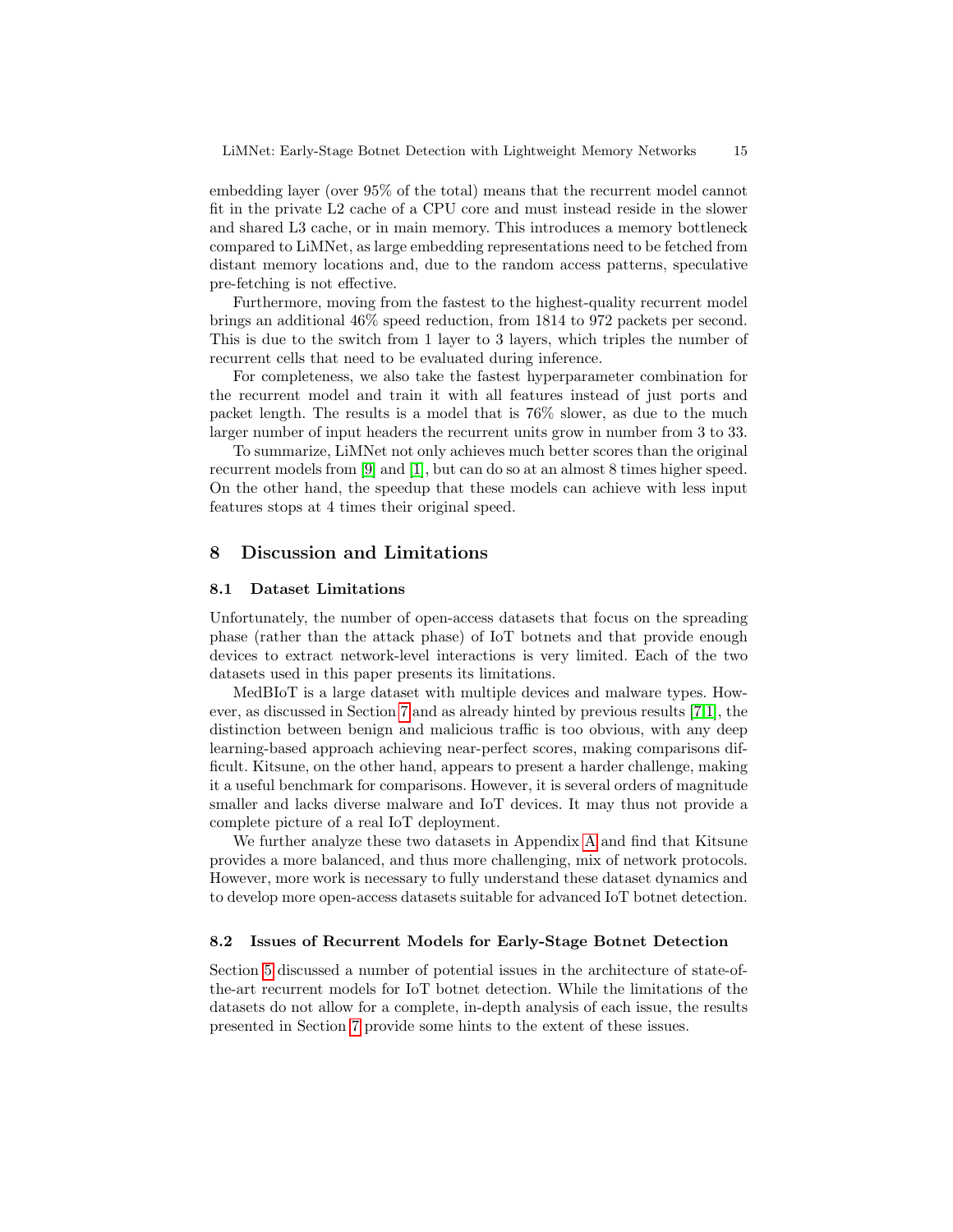embedding layer (over 95% of the total) means that the recurrent model cannot fit in the private L2 cache of a CPU core and must instead reside in the slower and shared L3 cache, or in main memory. This introduces a memory bottleneck compared to LiMNet, as large embedding representations need to be fetched from distant memory locations and, due to the random access patterns, speculative pre-fetching is not effective.

Furthermore, moving from the fastest to the highest-quality recurrent model brings an additional 46% speed reduction, from 1814 to 972 packets per second. This is due to the switch from 1 layer to 3 layers, which triples the number of recurrent cells that need to be evaluated during inference.

For completeness, we also take the fastest hyperparameter combination for the recurrent model and train it with all features instead of just ports and packet length. The results is a model that is 76% slower, as due to the much larger number of input headers the recurrent units grow in number from 3 to 33.

To summarize, LiMNet not only achieves much better scores than the original recurrent models from [\[9\]](#page-16-3) and [\[1\]](#page-16-5), but can do so at an almost 8 times higher speed. On the other hand, the speedup that these models can achieve with less input features stops at 4 times their original speed.

### <span id="page-14-0"></span>8 Discussion and Limitations

#### 8.1 Dataset Limitations

Unfortunately, the number of open-access datasets that focus on the spreading phase (rather than the attack phase) of IoT botnets and that provide enough devices to extract network-level interactions is very limited. Each of the two datasets used in this paper presents its limitations.

MedBIoT is a large dataset with multiple devices and malware types. However, as discussed in Section [7](#page-10-0) and as already hinted by previous results [\[7,](#page-16-4)[1\]](#page-16-5), the distinction between benign and malicious traffic is too obvious, with any deep learning-based approach achieving near-perfect scores, making comparisons difficult. Kitsune, on the other hand, appears to present a harder challenge, making it a useful benchmark for comparisons. However, it is several orders of magnitude smaller and lacks diverse malware and IoT devices. It may thus not provide a complete picture of a real IoT deployment.

We further analyze these two datasets in Appendix [A](#page-17-1) and find that Kitsune provides a more balanced, and thus more challenging, mix of network protocols. However, more work is necessary to fully understand these dataset dynamics and to develop more open-access datasets suitable for advanced IoT botnet detection.

#### 8.2 Issues of Recurrent Models for Early-Stage Botnet Detection

Section [5](#page-7-0) discussed a number of potential issues in the architecture of state-ofthe-art recurrent models for IoT botnet detection. While the limitations of the datasets do not allow for a complete, in-depth analysis of each issue, the results presented in Section [7](#page-10-0) provide some hints to the extent of these issues.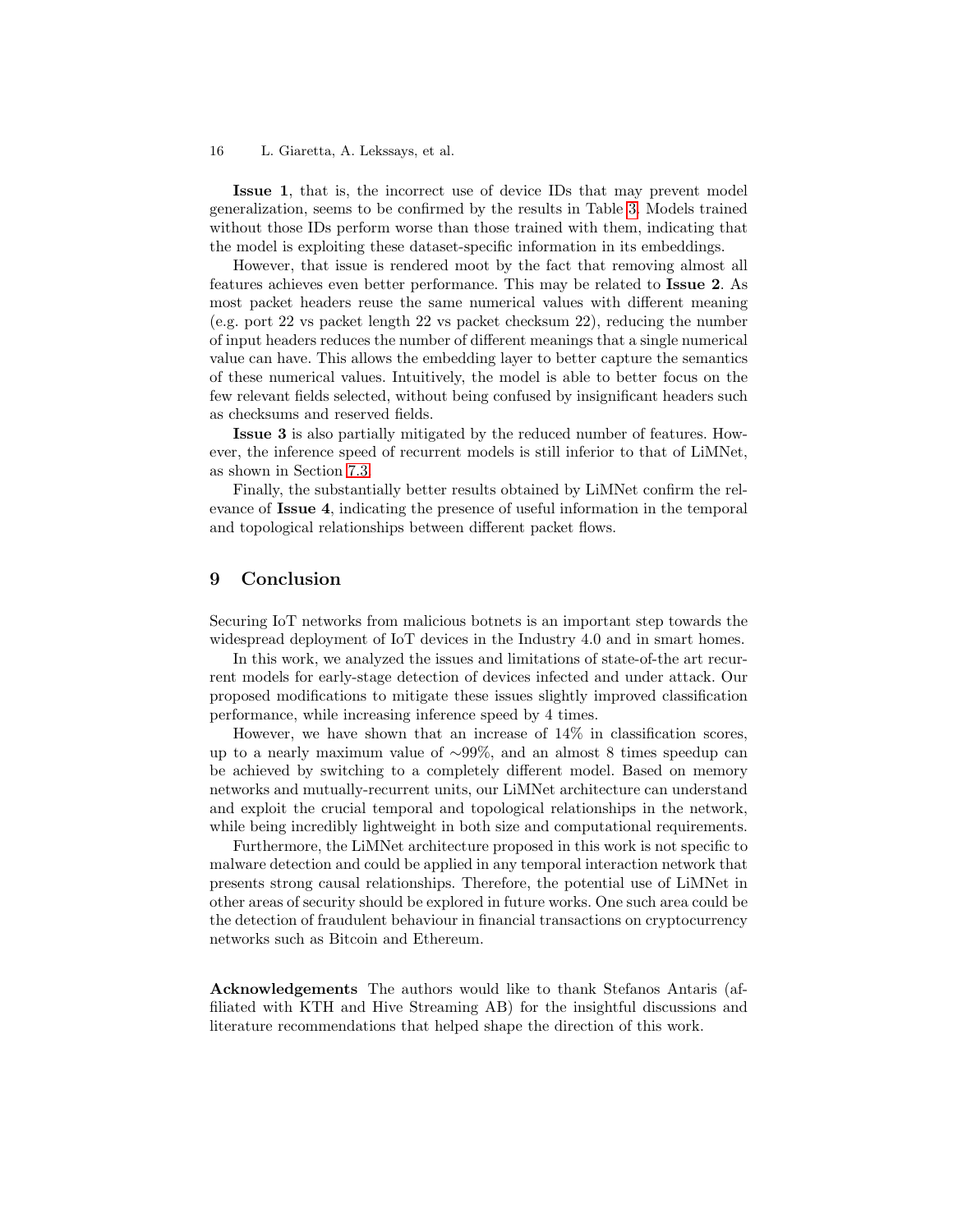Issue 1, that is, the incorrect use of device IDs that may prevent model generalization, seems to be confirmed by the results in Table [3.](#page-11-0) Models trained without those IDs perform worse than those trained with them, indicating that the model is exploiting these dataset-specific information in its embeddings.

However, that issue is rendered moot by the fact that removing almost all features achieves even better performance. This may be related to Issue 2. As most packet headers reuse the same numerical values with different meaning (e.g. port 22 vs packet length 22 vs packet checksum 22), reducing the number of input headers reduces the number of different meanings that a single numerical value can have. This allows the embedding layer to better capture the semantics of these numerical values. Intuitively, the model is able to better focus on the few relevant fields selected, without being confused by insignificant headers such as checksums and reserved fields.

Issue 3 is also partially mitigated by the reduced number of features. However, the inference speed of recurrent models is still inferior to that of LiMNet, as shown in Section [7.3.](#page-13-2)

Finally, the substantially better results obtained by LiMNet confirm the relevance of Issue 4, indicating the presence of useful information in the temporal and topological relationships between different packet flows.

## <span id="page-15-0"></span>9 Conclusion

Securing IoT networks from malicious botnets is an important step towards the widespread deployment of IoT devices in the Industry 4.0 and in smart homes.

In this work, we analyzed the issues and limitations of state-of-the art recurrent models for early-stage detection of devices infected and under attack. Our proposed modifications to mitigate these issues slightly improved classification performance, while increasing inference speed by 4 times.

However, we have shown that an increase of 14% in classification scores, up to a nearly maximum value of ∼99%, and an almost 8 times speedup can be achieved by switching to a completely different model. Based on memory networks and mutually-recurrent units, our LiMNet architecture can understand and exploit the crucial temporal and topological relationships in the network, while being incredibly lightweight in both size and computational requirements.

Furthermore, the LiMNet architecture proposed in this work is not specific to malware detection and could be applied in any temporal interaction network that presents strong causal relationships. Therefore, the potential use of LiMNet in other areas of security should be explored in future works. One such area could be the detection of fraudulent behaviour in financial transactions on cryptocurrency networks such as Bitcoin and Ethereum.

Acknowledgements The authors would like to thank Stefanos Antaris (affiliated with KTH and Hive Streaming AB) for the insightful discussions and literature recommendations that helped shape the direction of this work.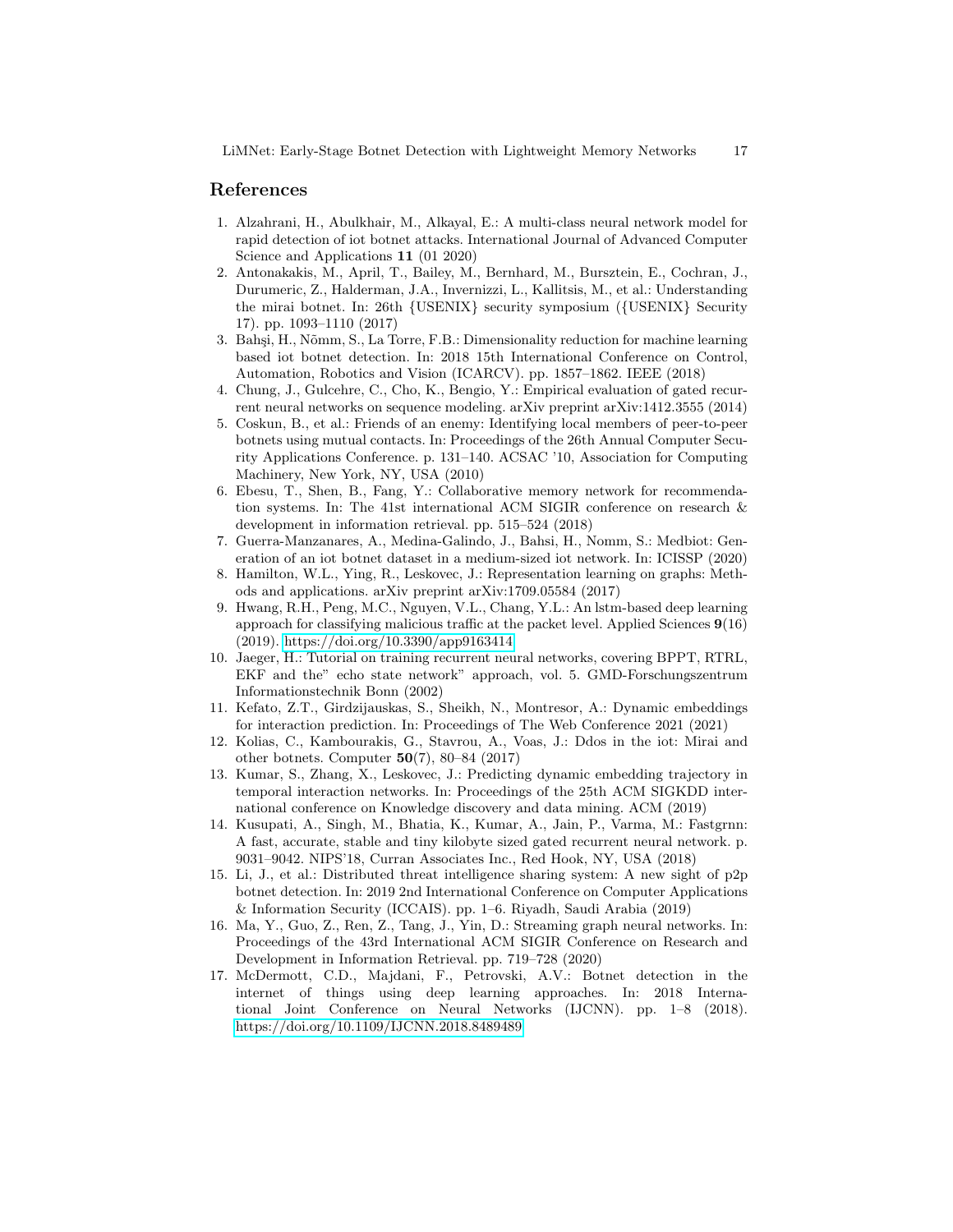## References

- <span id="page-16-5"></span>1. Alzahrani, H., Abulkhair, M., Alkayal, E.: A multi-class neural network model for rapid detection of iot botnet attacks. International Journal of Advanced Computer Science and Applications 11 (01 2020)
- <span id="page-16-0"></span>2. Antonakakis, M., April, T., Bailey, M., Bernhard, M., Bursztein, E., Cochran, J., Durumeric, Z., Halderman, J.A., Invernizzi, L., Kallitsis, M., et al.: Understanding the mirai botnet. In: 26th {USENIX} security symposium ({USENIX} Security 17). pp. 1093–1110 (2017)
- <span id="page-16-2"></span>3. Bahşi, H., Nõmm, S., La Torre, F.B.: Dimensionality reduction for machine learning based iot botnet detection. In: 2018 15th International Conference on Control, Automation, Robotics and Vision (ICARCV). pp. 1857–1862. IEEE (2018)
- <span id="page-16-6"></span>4. Chung, J., Gulcehre, C., Cho, K., Bengio, Y.: Empirical evaluation of gated recurrent neural networks on sequence modeling. arXiv preprint arXiv:1412.3555 (2014)
- <span id="page-16-14"></span>5. Coskun, B., et al.: Friends of an enemy: Identifying local members of peer-to-peer botnets using mutual contacts. In: Proceedings of the 26th Annual Computer Security Applications Conference. p. 131–140. ACSAC '10, Association for Computing Machinery, New York, NY, USA (2010)
- <span id="page-16-8"></span>6. Ebesu, T., Shen, B., Fang, Y.: Collaborative memory network for recommendation systems. In: The 41st international ACM SIGIR conference on research & development in information retrieval. pp. 515–524 (2018)
- <span id="page-16-4"></span>7. Guerra-Manzanares, A., Medina-Galindo, J., Bahsi, H., Nomm, S.: Medbiot: Generation of an iot botnet dataset in a medium-sized iot network. In: ICISSP (2020)
- <span id="page-16-9"></span>8. Hamilton, W.L., Ying, R., Leskovec, J.: Representation learning on graphs: Methods and applications. arXiv preprint arXiv:1709.05584 (2017)
- <span id="page-16-3"></span>9. Hwang, R.H., Peng, M.C., Nguyen, V.L., Chang, Y.L.: An lstm-based deep learning approach for classifying malicious traffic at the packet level. Applied Sciences  $9(16)$ (2019).<https://doi.org/10.3390/app9163414>
- <span id="page-16-16"></span>10. Jaeger, H.: Tutorial on training recurrent neural networks, covering BPPT, RTRL, EKF and the" echo state network" approach, vol. 5. GMD-Forschungszentrum Informationstechnik Bonn (2002)
- <span id="page-16-12"></span>11. Kefato, Z.T., Girdzijauskas, S., Sheikh, N., Montresor, A.: Dynamic embeddings for interaction prediction. In: Proceedings of The Web Conference 2021 (2021)
- <span id="page-16-1"></span>12. Kolias, C., Kambourakis, G., Stavrou, A., Voas, J.: Ddos in the iot: Mirai and other botnets. Computer  $50(7)$ , 80–84 (2017)
- <span id="page-16-10"></span>13. Kumar, S., Zhang, X., Leskovec, J.: Predicting dynamic embedding trajectory in temporal interaction networks. In: Proceedings of the 25th ACM SIGKDD international conference on Knowledge discovery and data mining. ACM (2019)
- <span id="page-16-7"></span>14. Kusupati, A., Singh, M., Bhatia, K., Kumar, A., Jain, P., Varma, M.: Fastgrnn: A fast, accurate, stable and tiny kilobyte sized gated recurrent neural network. p. 9031–9042. NIPS'18, Curran Associates Inc., Red Hook, NY, USA (2018)
- <span id="page-16-15"></span>15. Li, J., et al.: Distributed threat intelligence sharing system: A new sight of p2p botnet detection. In: 2019 2nd International Conference on Computer Applications & Information Security (ICCAIS). pp. 1–6. Riyadh, Saudi Arabia (2019)
- <span id="page-16-11"></span>16. Ma, Y., Guo, Z., Ren, Z., Tang, J., Yin, D.: Streaming graph neural networks. In: Proceedings of the 43rd International ACM SIGIR Conference on Research and Development in Information Retrieval. pp. 719–728 (2020)
- <span id="page-16-13"></span>17. McDermott, C.D., Majdani, F., Petrovski, A.V.: Botnet detection in the internet of things using deep learning approaches. In: 2018 International Joint Conference on Neural Networks (IJCNN). pp. 1–8 (2018). <https://doi.org/10.1109/IJCNN.2018.8489489>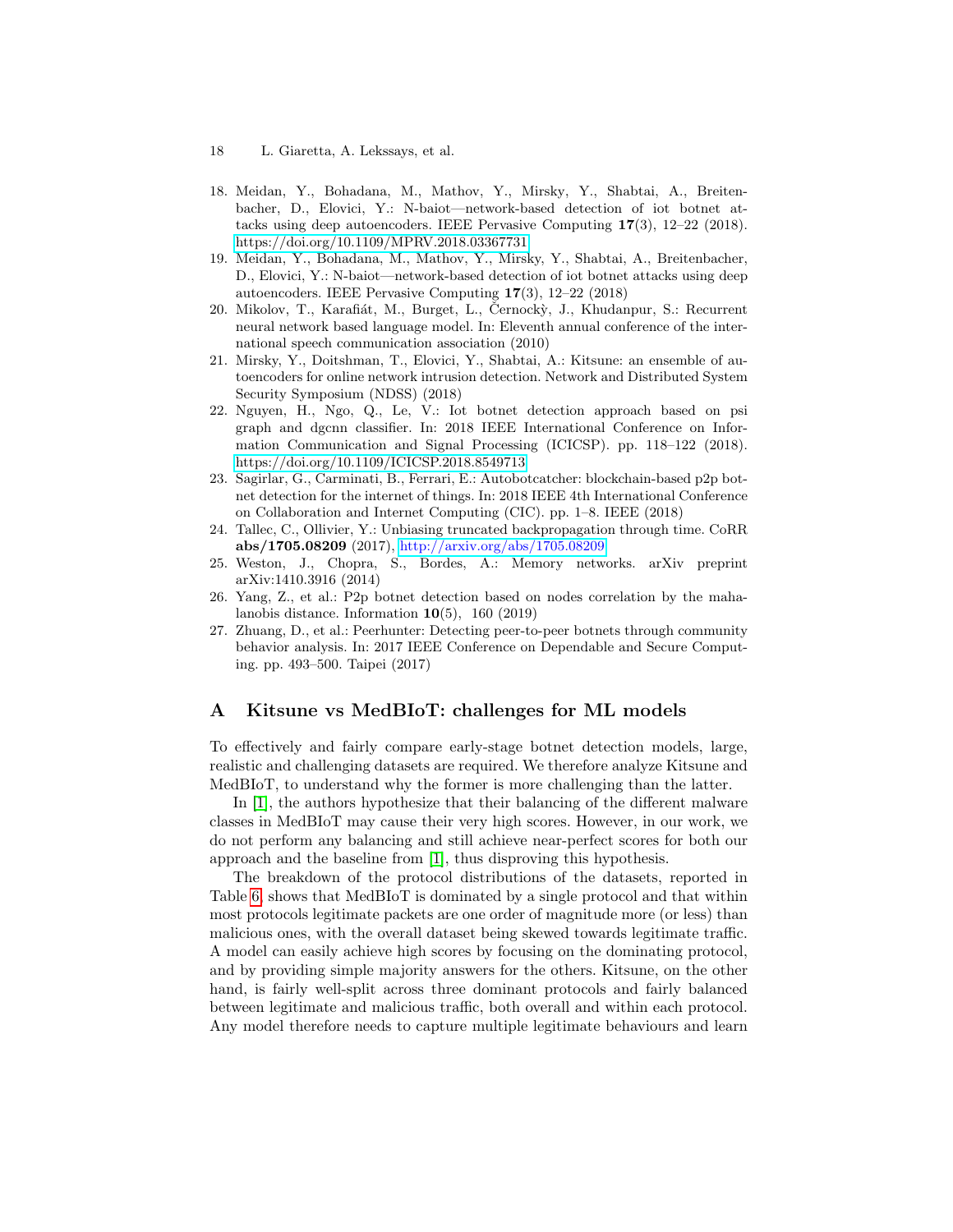- 18 L. Giaretta, A. Lekssays, et al.
- <span id="page-17-5"></span>18. Meidan, Y., Bohadana, M., Mathov, Y., Mirsky, Y., Shabtai, A., Breitenbacher, D., Elovici, Y.: N-baiot—network-based detection of iot botnet attacks using deep autoencoders. IEEE Pervasive Computing 17(3), 12–22 (2018). <https://doi.org/10.1109/MPRV.2018.03367731>
- <span id="page-17-0"></span>19. Meidan, Y., Bohadana, M., Mathov, Y., Mirsky, Y., Shabtai, A., Breitenbacher, D., Elovici, Y.: N-baiot—network-based detection of iot botnet attacks using deep autoencoders. IEEE Pervasive Computing 17(3), 12–22 (2018)
- <span id="page-17-2"></span>20. Mikolov, T., Karafiát, M., Burget, L., Černockỳ, J., Khudanpur, S.: Recurrent neural network based language model. In: Eleventh annual conference of the international speech communication association (2010)
- <span id="page-17-10"></span>21. Mirsky, Y., Doitshman, T., Elovici, Y., Shabtai, A.: Kitsune: an ensemble of autoencoders for online network intrusion detection. Network and Distributed System Security Symposium (NDSS) (2018)
- <span id="page-17-4"></span>22. Nguyen, H., Ngo, Q., Le, V.: Iot botnet detection approach based on psi graph and dgcnn classifier. In: 2018 IEEE International Conference on Information Communication and Signal Processing (ICICSP). pp. 118–122 (2018). <https://doi.org/10.1109/ICICSP.2018.8549713>
- <span id="page-17-7"></span>23. Sagirlar, G., Carminati, B., Ferrari, E.: Autobotcatcher: blockchain-based p2p botnet detection for the internet of things. In: 2018 IEEE 4th International Conference on Collaboration and Internet Computing (CIC). pp. 1–8. IEEE (2018)
- <span id="page-17-9"></span>24. Tallec, C., Ollivier, Y.: Unbiasing truncated backpropagation through time. CoRR abs/1705.08209 (2017), <http://arxiv.org/abs/1705.08209>
- <span id="page-17-3"></span>25. Weston, J., Chopra, S., Bordes, A.: Memory networks. arXiv preprint arXiv:1410.3916 (2014)
- <span id="page-17-8"></span>26. Yang, Z., et al.: P2p botnet detection based on nodes correlation by the mahalanobis distance. Information  $10(5)$ , 160 (2019)
- <span id="page-17-6"></span>27. Zhuang, D., et al.: Peerhunter: Detecting peer-to-peer botnets through community behavior analysis. In: 2017 IEEE Conference on Dependable and Secure Computing. pp. 493–500. Taipei (2017)

## <span id="page-17-1"></span>A Kitsune vs MedBIoT: challenges for ML models

To effectively and fairly compare early-stage botnet detection models, large, realistic and challenging datasets are required. We therefore analyze Kitsune and MedBIoT, to understand why the former is more challenging than the latter.

In [\[1\]](#page-16-5), the authors hypothesize that their balancing of the different malware classes in MedBIoT may cause their very high scores. However, in our work, we do not perform any balancing and still achieve near-perfect scores for both our approach and the baseline from [\[1\]](#page-16-5), thus disproving this hypothesis.

The breakdown of the protocol distributions of the datasets, reported in Table [6,](#page-18-1) shows that MedBIoT is dominated by a single protocol and that within most protocols legitimate packets are one order of magnitude more (or less) than malicious ones, with the overall dataset being skewed towards legitimate traffic. A model can easily achieve high scores by focusing on the dominating protocol, and by providing simple majority answers for the others. Kitsune, on the other hand, is fairly well-split across three dominant protocols and fairly balanced between legitimate and malicious traffic, both overall and within each protocol. Any model therefore needs to capture multiple legitimate behaviours and learn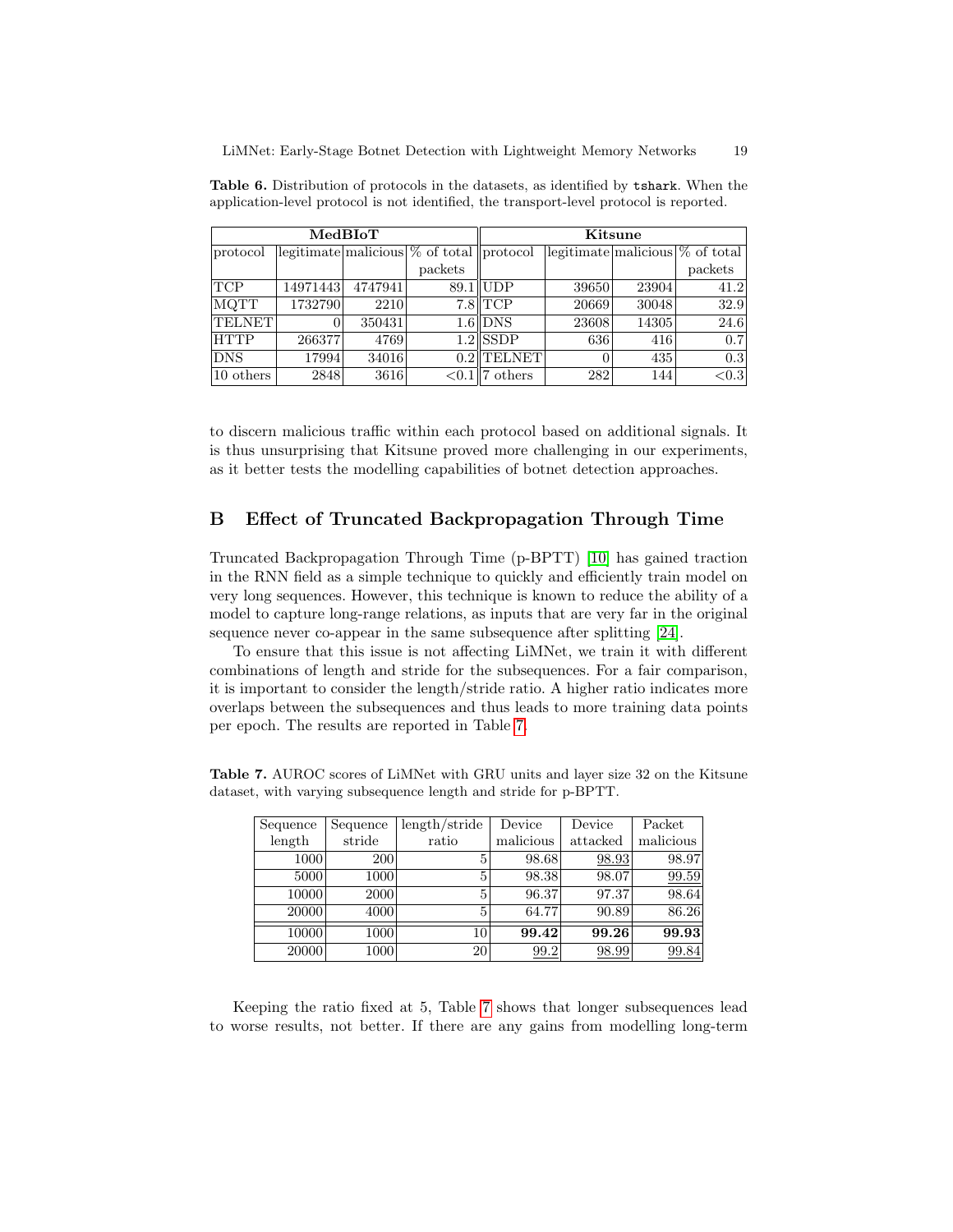|                     |          | MedBIoT |                                                                  |              |       | Kitsune |                                    |
|---------------------|----------|---------|------------------------------------------------------------------|--------------|-------|---------|------------------------------------|
| protocol            |          |         | $\sqrt{\text{legitimate}}$ malicious $\%$ of total $\ $ protocol |              |       |         | legitimate malicious $\%$ of total |
|                     |          |         | packets                                                          |              |       |         | packets                            |
| TCP                 | 14971443 | 4747941 | 89.1                                                             | ∥UDP         | 39650 | 23904   | 41.2                               |
| MQTT                | 1732790  | 2210    |                                                                  | $7.8$ TCP    | 20669 | 30048   | 32.9                               |
| <b>TELNET</b>       |          | 350431  |                                                                  | $1.6$ DNS    | 23608 | 14305   | 24.6                               |
| <b>HTTP</b>         | 266377   | 4769    |                                                                  | $1.2$ SSDP   | 636   | 416     | 0.7                                |
| DNS                 | 17994    | 34016   |                                                                  | $0.2$ TELNET |       | 435     | 0.3                                |
| $10 \text{ others}$ | 2848     | 3616    | ${<}0.1$                                                         | others       | 282   | 144     | < 0.3                              |

<span id="page-18-1"></span>Table 6. Distribution of protocols in the datasets, as identified by tshark. When the application-level protocol is not identified, the transport-level protocol is reported.

to discern malicious traffic within each protocol based on additional signals. It is thus unsurprising that Kitsune proved more challenging in our experiments, as it better tests the modelling capabilities of botnet detection approaches.

## <span id="page-18-0"></span>B Effect of Truncated Backpropagation Through Time

Truncated Backpropagation Through Time (p-BPTT) [\[10\]](#page-16-16) has gained traction in the RNN field as a simple technique to quickly and efficiently train model on very long sequences. However, this technique is known to reduce the ability of a model to capture long-range relations, as inputs that are very far in the original sequence never co-appear in the same subsequence after splitting [\[24\]](#page-17-9).

To ensure that this issue is not affecting LiMNet, we train it with different combinations of length and stride for the subsequences. For a fair comparison, it is important to consider the length/stride ratio. A higher ratio indicates more overlaps between the subsequences and thus leads to more training data points per epoch. The results are reported in Table [7.](#page-18-2)

<span id="page-18-2"></span>

| Sequence | Sequence | length/stride | Device    | Device   | Packet    |
|----------|----------|---------------|-----------|----------|-----------|
| length   | stride   | ratio         | malicious | attacked | malicious |
| 1000     | 200      | 5             | 98.68     | 98.93    | 98.97     |
| 5000     | 1000     | 5             | 98.38     | 98.07    | 99.59     |
| 10000    | 2000     | 5             | 96.37     | 97.37    | 98.64     |
| 20000    | 4000     | 5             | 64.77     | 90.89    | 86.26     |
| 10000    | 1000     | 10            | 99.42     | 99.26    | 99.93     |
| 20000    | 1000     | 20            | 99.2      | 98.99    | 99.84     |

Table 7. AUROC scores of LiMNet with GRU units and layer size 32 on the Kitsune dataset, with varying subsequence length and stride for p-BPTT.

Keeping the ratio fixed at 5, Table [7](#page-18-2) shows that longer subsequences lead to worse results, not better. If there are any gains from modelling long-term